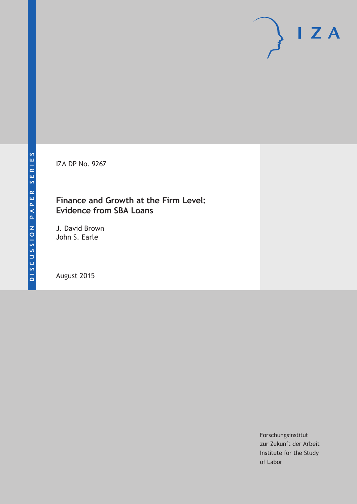IZA DP No. 9267

## **Finance and Growth at the Firm Level: Evidence from SBA Loans**

J. David Brown John S. Earle

August 2015

Forschungsinstitut zur Zukunft der Arbeit Institute for the Study of Labor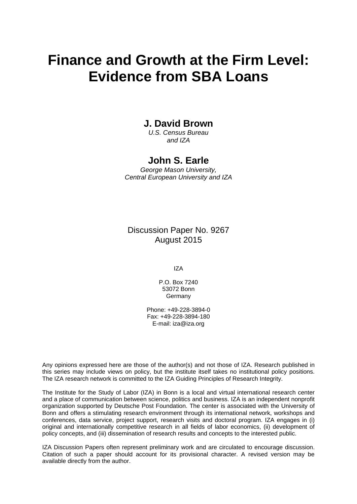# **Finance and Growth at the Firm Level: Evidence from SBA Loans**

### **J. David Brown**

*U.S. Census Bureau and IZA* 

### **John S. Earle**

*George Mason University, Central European University and IZA* 

Discussion Paper No. 9267 August 2015

IZA

P.O. Box 7240 53072 Bonn Germany

Phone: +49-228-3894-0 Fax: +49-228-3894-180 E-mail: iza@iza.org

Any opinions expressed here are those of the author(s) and not those of IZA. Research published in this series may include views on policy, but the institute itself takes no institutional policy positions. The IZA research network is committed to the IZA Guiding Principles of Research Integrity.

The Institute for the Study of Labor (IZA) in Bonn is a local and virtual international research center and a place of communication between science, politics and business. IZA is an independent nonprofit organization supported by Deutsche Post Foundation. The center is associated with the University of Bonn and offers a stimulating research environment through its international network, workshops and conferences, data service, project support, research visits and doctoral program. IZA engages in (i) original and internationally competitive research in all fields of labor economics, (ii) development of policy concepts, and (iii) dissemination of research results and concepts to the interested public.

IZA Discussion Papers often represent preliminary work and are circulated to encourage discussion. Citation of such a paper should account for its provisional character. A revised version may be available directly from the author.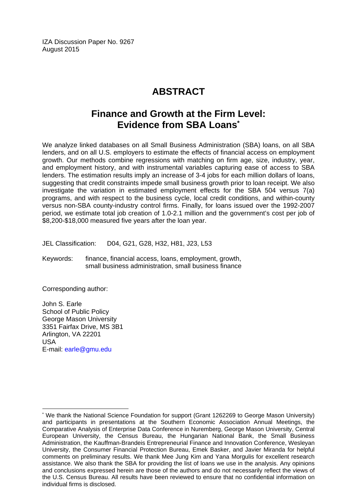IZA Discussion Paper No. 9267 August 2015

# **ABSTRACT**

# **Finance and Growth at the Firm Level: Evidence from SBA Loans\***

We analyze linked databases on all Small Business Administration (SBA) loans, on all SBA lenders, and on all U.S. employers to estimate the effects of financial access on employment growth. Our methods combine regressions with matching on firm age, size, industry, year, and employment history, and with instrumental variables capturing ease of access to SBA lenders. The estimation results imply an increase of 3-4 jobs for each million dollars of loans, suggesting that credit constraints impede small business growth prior to loan receipt. We also investigate the variation in estimated employment effects for the SBA 504 versus 7(a) programs, and with respect to the business cycle, local credit conditions, and within-county versus non-SBA county-industry control firms. Finally, for loans issued over the 1992-2007 period, we estimate total job creation of 1.0-2.1 million and the government's cost per job of \$8,200-\$18,000 measured five years after the loan year.

JEL Classification: D04, G21, G28, H32, H81, J23, L53

Keywords: finance, financial access, loans, employment, growth, small business administration, small business finance

Corresponding author:

John S. Earle School of Public Policy George Mason University 3351 Fairfax Drive, MS 3B1 Arlington, VA 22201 USA E-mail: earle@gmu.edu

 $\overline{a}$ 

<sup>\*</sup> We thank the National Science Foundation for support (Grant 1262269 to George Mason University) and participants in presentations at the Southern Economic Association Annual Meetings, the Comparative Analysis of Enterprise Data Conference in Nuremberg, George Mason University, Central European University, the Census Bureau, the Hungarian National Bank, the Small Business Administration, the Kauffman-Brandeis Entrepreneurial Finance and Innovation Conference, Wesleyan University, the Consumer Financial Protection Bureau, Emek Basker, and Javier Miranda for helpful comments on preliminary results. We thank Mee Jung Kim and Yana Morgulis for excellent research assistance. We also thank the SBA for providing the list of loans we use in the analysis. Any opinions and conclusions expressed herein are those of the authors and do not necessarily reflect the views of the U.S. Census Bureau. All results have been reviewed to ensure that no confidential information on individual firms is disclosed.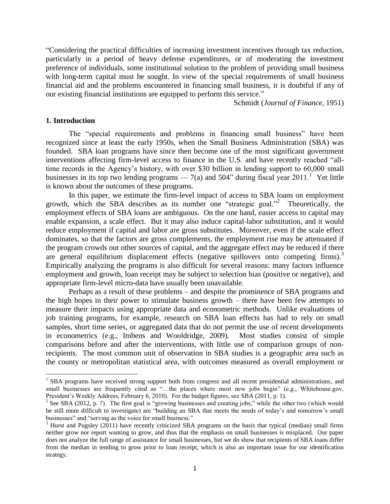"Considering the practical difficulties of increasing investment incentives through tax reduction, particularly in a period of heavy defense expenditures, or of moderating the investment preference of individuals, some institutional solution to the problem of providing small business with long-term capital must be sought. In view of the special requirements of small business financial aid and the problems encountered in financing small business, it is doubtful if any of our existing financial institutions are equipped to perform this service."

Schmidt (*Journal of Finance*, 1951)

#### **1. Introduction**

 $\overline{\phantom{a}}$ 

The "special requirements and problems in financing small business" have been recognized since at least the early 1950s, when the Small Business Administration (SBA) was founded. SBA loan programs have since then become one of the most significant government interventions affecting firm-level access to finance in the U.S. and have recently reached "alltime records in the Agency's history, with over \$30 billion in lending support to 60,000 small businesses in its top two lending programs — 7(a) and 504" during fiscal year 2011.<sup>1</sup> Yet little is known about the outcomes of these programs.

In this paper, we estimate the firm-level impact of access to SBA loans on employment growth, which the SBA describes as its number one "strategic goal."<sup>2</sup> Theoretically, the employment effects of SBA loans are ambiguous. On the one hand, easier access to capital may enable expansion, a scale effect. But it may also induce capital-labor substitution, and it would reduce employment if capital and labor are gross substitutes. Moreover, even if the scale effect dominates, so that the factors are gross complements, the employment rise may be attenuated if the program crowds out other sources of capital, and the aggregate effect may be reduced if there are general equilibrium displacement effects (negative spillovers onto competing firms).<sup>3</sup> Empirically analyzing the programs is also difficult for several reasons: many factors influence employment and growth, loan receipt may be subject to selection bias (positive or negative), and appropriate firm-level micro-data have usually been unavailable.

Perhaps as a result of these problems – and despite the prominence of SBA programs and the high hopes in their power to stimulate business growth – there have been few attempts to measure their impacts using appropriate data and econometric methods. Unlike evaluations of job training programs, for example, research on SBA loan effects has had to rely on small samples, short time series, or aggregated data that do not permit the use of recent developments in econometrics (e.g., Imbens and Wooldridge, 2009). Most studies consist of simple comparisons before and after the interventions, with little use of comparison groups of nonrecipients. The most common unit of observation in SBA studies is a geographic area such as the county or metropolitan statistical area, with outcomes measured as overall employment or

<sup>&</sup>lt;sup>1</sup> SBA programs have received strong support both from congress and all recent presidential administrations, and small businesses are frequently cited as "…the places where most new jobs begin" (e.g., Whitehouse.gov, President's Weekly Address, February 6, 2010). For the budget figures, see [SBA](http://www.sba.gov/sites/default/%20files/files/1-508%20Compliant%25%2020FY%202013%20CBJ%20FY%202011%20APR%281%29.pdf) (2011, p. 1).

 $2^2$  See SBA (2012, p. 7). The first goal is "growing businesses and creating jobs," while the other two (which would be still more difficult to investigate) are "building an SBA that meets the needs of today's and tomorrow's small businesses" and "serving as the voice for small business."

 $3$  Hurst and Pugsley (2011) have recently criticized SBA programs on the basis that typical (median) small firms neither grow nor report wanting to grow, and thus that the emphasis on small businesses is misplaced. Our paper does not analyze the full range of assistance for small businesses, but we do show that recipients of SBA loans differ from the median in tending to grow prior to loan receipt, which is also an important issue for our identification strategy.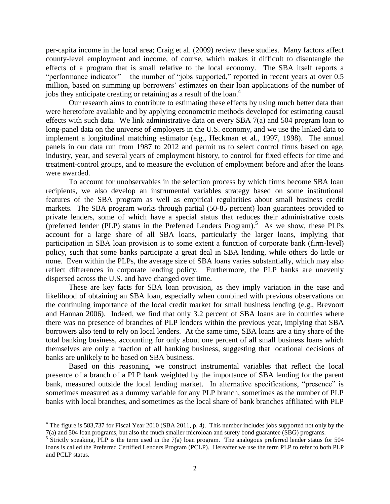per-capita income in the local area; Craig et al. (2009) review these studies. Many factors affect county-level employment and income, of course, which makes it difficult to disentangle the effects of a program that is small relative to the local economy. The SBA itself reports a "performance indicator" – the number of "jobs supported," reported in recent years at over 0.5 million, based on summing up borrowers' estimates on their loan applications of the number of jobs they anticipate creating or retaining as a result of the loan.<sup>4</sup>

Our research aims to contribute to estimating these effects by using much better data than were heretofore available and by applying econometric methods developed for estimating causal effects with such data. We link administrative data on every SBA 7(a) and 504 program loan to long-panel data on the universe of employers in the U.S. economy, and we use the linked data to implement a longitudinal matching estimator (e.g., Heckman et al., 1997, 1998). The annual panels in our data run from 1987 to 2012 and permit us to select control firms based on age, industry, year, and several years of employment history, to control for fixed effects for time and treatment-control groups, and to measure the evolution of employment before and after the loans were awarded.

To account for unobservables in the selection process by which firms become SBA loan recipients, we also develop an instrumental variables strategy based on some institutional features of the SBA program as well as empirical regularities about small business credit markets. The SBA program works through partial (50-85 percent) loan guarantees provided to private lenders, some of which have a special status that reduces their administrative costs (preferred lender (PLP) status in the Preferred Lenders Program). 5 As we show, these PLPs account for a large share of all SBA loans, particularly the larger loans, implying that participation in SBA loan provision is to some extent a function of corporate bank (firm-level) policy, such that some banks participate a great deal in SBA lending, while others do little or none. Even within the PLPs, the average size of SBA loans varies substantially, which may also reflect differences in corporate lending policy. Furthermore, the PLP banks are unevenly dispersed across the U.S. and have changed over time.

These are key facts for SBA loan provision, as they imply variation in the ease and likelihood of obtaining an SBA loan, especially when combined with previous observations on the continuing importance of the local credit market for small business lending (e.g., Brevoort and Hannan 2006). Indeed, we find that only 3.2 percent of SBA loans are in counties where there was no presence of branches of PLP lenders within the previous year, implying that SBA borrowers also tend to rely on local lenders. At the same time, SBA loans are a tiny share of the total banking business, accounting for only about one percent of all small business loans which themselves are only a fraction of all banking business, suggesting that locational decisions of banks are unlikely to be based on SBA business.

Based on this reasoning, we construct instrumental variables that reflect the local presence of a branch of a PLP bank weighted by the importance of SBA lending for the parent bank, measured outside the local lending market. In alternative specifications, "presence" is sometimes measured as a dummy variable for any PLP branch, sometimes as the number of PLP banks with local branches, and sometimes as the local share of bank branches affiliated with PLP

 $\overline{a}$ 

<sup>&</sup>lt;sup>4</sup> The figure is 583,737 for Fiscal Year 2010 [\(SBA](http://www.sba.gov/sites/default/%20files/files/1-508%20Compliant%25%2020FY%202013%20CBJ%20FY%202011%20APR%281%29.pdf) 2011, p. 4). This number includes jobs supported not only by the

 $7(a)$  and 504 loan programs, but also the much smaller microloan and surety bond guarantee (SBG) programs.<br><sup>5</sup> Strictly speaking, PLP is the term used in the 7(a) loan program. The analogous preferred lender status for 50 loans is called the Preferred Certified Lenders Program (PCLP). Hereafter we use the term PLP to refer to both PLP and PCLP status.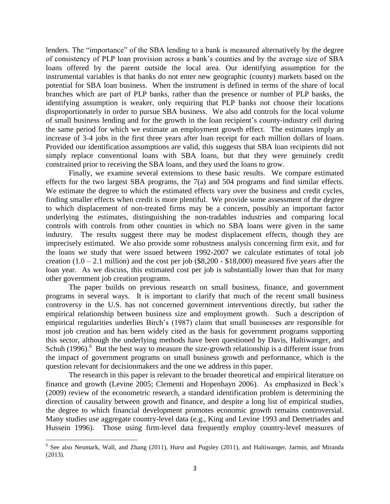lenders. The "importance" of the SBA lending to a bank is measured alternatively by the degree of consistency of PLP loan provision across a bank's counties and by the average size of SBA loans offered by the parent outside the local area. Our identifying assumption for the instrumental variables is that banks do not enter new geographic (county) markets based on the potential for SBA loan business. When the instrument is defined in terms of the share of local branches which are part of PLP banks, rather than the presence or number of PLP banks, the identifying assumption is weaker, only requiring that PLP banks not choose their locations disproportionately in order to pursue SBA business. We also add controls for the local volume of small business lending and for the growth in the loan recipient's county-industry cell during the same period for which we estimate an employment growth effect. The estimates imply an increase of 3-4 jobs in the first three years after loan receipt for each million dollars of loans. Provided our identification assumptions are valid, this suggests that SBA loan recipients did not simply replace conventional loans with SBA loans, but that they were genuinely credit constrained prior to receiving the SBA loans, and they used the loans to grow.

Finally, we examine several extensions to these basic results. We compare estimated effects for the two largest SBA programs, the 7(a) and 504 programs and find similar effects. We estimate the degree to which the estimated effects vary over the business and credit cycles, finding smaller effects when credit is more plentiful. We provide some assessment of the degree to which displacement of non-treated firms may be a concern, possibly an important factor underlying the estimates, distinguishing the non-tradables industries and comparing local controls with controls from other counties in which no SBA loans were given in the same industry. The results suggest there may be modest displacement effects, though they are imprecisely estimated. We also provide some robustness analysis concerning firm exit, and for the loans we study that were issued between 1992-2007 we calculate estimates of total job creation  $(1.0 - 2.1$  million) and the cost per job (\$8,200 - \$18,000) measured five years after the loan year. As we discuss, this estimated cost per job is substantially lower than that for many other government job creation programs.

The paper builds on previous research on small business, finance, and government programs in several ways. It is important to clarify that much of the recent small business controversy in the U.S. has not concerned government interventions directly, but rather the empirical relationship between business size and employment growth. Such a description of empirical regularities underlies Birch's (1987) claim that small businesses are responsible for most job creation and has been widely cited as the basis for government programs supporting this sector, although the underlying methods have been questioned by Davis, Haltiwanger, and Schuh (1996).<sup>6</sup> But the best way to measure the size-growth relationship is a different issue from the impact of government programs on small business growth and performance, which is the question relevant for decisionmakers and the one we address in this paper.

The research in this paper is relevant to the broader theoretical and empirical literature on finance and growth (Levine 2005; Clementi and Hopenhayn 2006). As emphasized in Beck's (2009) review of the econometric research, a standard identification problem is determining the direction of causality between growth and finance, and despite a long list of empirical studies, the degree to which financial development promotes economic growth remains controversial. Many studies use aggregate country-level data (e.g., King and Levine 1993 and Demetriades and Hussein 1996). Those using firm-level data frequently employ country-level measures of

<sup>&</sup>lt;sup>6</sup> See also Neumark, Wall, and Zhang (2011), Hurst and Pugsley (2011), and Haltiwanger, Jarmin, and Miranda (2013).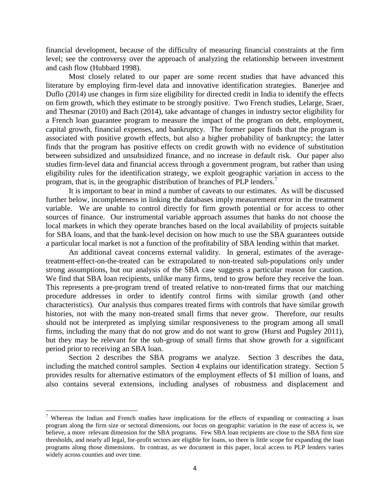financial development, because of the difficulty of measuring financial constraints at the firm level; see the controversy over the approach of analyzing the relationship between investment and cash flow (Hubbard 1998).

Most closely related to our paper are some recent studies that have advanced this literature by employing firm-level data and innovative identification strategies. Banerjee and Duflo (2014) use changes in firm size eligibility for directed credit in India to identify the effects on firm growth, which they estimate to be strongly positive. Two French studies, Lelarge, Sraer, and Thesmar (2010) and Bach (2014), take advantage of changes in industry sector eligibility for a French loan guarantee program to measure the impact of the program on debt, employment, capital growth, financial expenses, and bankruptcy. The former paper finds that the program is associated with positive growth effects, but also a higher probability of bankruptcy; the latter finds that the program has positive effects on credit growth with no evidence of substitution between subsidized and unsubsidized finance, and no increase in default risk. Our paper also studies firm-level data and financial access through a government program, but rather than using eligibility rules for the identification strategy, we exploit geographic variation in access to the program, that is, in the geographic distribution of branches of PLP lenders.<sup>7</sup>

It is important to bear in mind a number of caveats to our estimates. As will be discussed further below, incompleteness in linking the databases imply measurement error in the treatment variable. We are unable to control directly for firm growth potential or for access to other sources of finance. Our instrumental variable approach assumes that banks do not choose the local markets in which they operate branches based on the local availability of projects suitable for SBA loans, and that the bank-level decision on how much to use the SBA guarantees outside a particular local market is not a function of the profitability of SBA lending within that market.

An additional caveat concerns external validity. In general, estimates of the averagetreatment-effect-on-the-treated can be extrapolated to non-treated sub-populations only under strong assumptions, but our analysis of the SBA case suggests a particular reason for caution. We find that SBA loan recipients, unlike many firms, tend to grow before they receive the loan. This represents a pre-program trend of treated relative to non-treated firms that our matching procedure addresses in order to identify control firms with similar growth (and other characteristics). Our analysis thus compares treated firms with controls that have similar growth histories, not with the many non-treated small firms that never grow. Therefore, our results should not be interpreted as implying similar responsiveness to the program among all small firms, including the many that do not grow and do not want to grow (Hurst and Pugsley 2011), but they may be relevant for the sub-group of small firms that show growth for a significant period prior to receiving an SBA loan.

Section 2 describes the SBA programs we analyze. Section 3 describes the data, including the matched control samples. Section 4 explains our identification strategy. Section 5 provides results for alternative estimators of the employment effects of \$1 million of loans, and also contains several extensions, including analyses of robustness and displacement and

l

<sup>7</sup> Whereas the Indian and French studies have implications for the effects of expanding or contracting a loan program along the firm size or sectoral dimensions, our focus on geographic variation in the ease of access is, we believe, a more relevant dimension for the SBA programs. Few SBA loan recipients are close to the SBA firm size thresholds, and nearly all legal, for-profit sectors are eligible for loans, so there is little scope for expanding the loan programs along those dimensions. In contrast, as we document in this paper, local access to PLP lenders varies widely across counties and over time.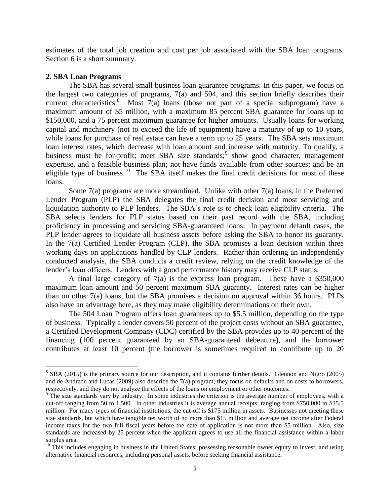estimates of the total job creation and cost per job associated with the SBA loan programs. Section 6 is a short summary.

#### **2. SBA Loan Programs**

 $\overline{a}$ 

The SBA has several small business loan guarantee programs. In this paper, we focus on the largest two categories of programs, 7(a) and 504, and this section briefly describes their current characteristics.<sup>8</sup> Most  $\frac{1}{2}$  loans (those not part of a special subprogram) have a maximum amount of \$5 million, with a maximum 85 percent SBA guarantee for loans up to \$150,000, and a 75 percent maximum guarantee for higher amounts. Usually loans for working capital and machinery (not to exceed the life of equipment) have a maturity of up to 10 years, while loans for purchase of real estate can have a term up to 25 years. The SBA sets maximum loan interest rates, which decrease with loan amount and increase with maturity. To qualify, a business must be for-profit; meet SBA size standards;<sup>9</sup> show good character, management expertise, and a feasible business plan; not have funds available from other sources; and be an eligible type of business.<sup>10</sup> The SBA itself makes the final credit decisions for most of these loans.

Some  $7(a)$  programs are more streamlined. Unlike with other  $7(a)$  loans, in the Preferred Lender Program (PLP) the SBA delegates the final credit decision and most servicing and liquidation authority to PLP lenders. The SBA's role is to check loan eligibility criteria. The SBA selects lenders for PLP status based on their past record with the SBA, including proficiency in processing and servicing SBA-guaranteed loans. In payment default cases, the PLP lender agrees to liquidate all business assets before asking the SBA to honor its guaranty. In the 7(a) Certified Lender Program (CLP), the SBA promises a loan decision within three working days on applications handled by CLP lenders. Rather than ordering an independently conducted analysis, the SBA conducts a credit review, relying on the credit knowledge of the lender's loan officers. Lenders with a good performance history may receive CLP status.

A final large category of 7(a) is the express loan program. These have a \$350,000 maximum loan amount and 50 percent maximum SBA guaranty. Interest rates can be higher than on other 7(a) loans, but the SBA promises a decision on approval within 36 hours. PLPs also have an advantage here, as they may make eligibility determinations on their own.

The 504 Loan Program offers loan guarantees up to \$5.5 million, depending on the type of business. Typically a lender covers 50 percent of the project costs without an SBA guarantee, a Certified Development Company (CDC) certified by the SBA provides up to 40 percent of the financing (100 percent guaranteed by an SBA-guaranteed debenture), and the borrower contributes at least 10 percent (the borrower is sometimes required to contribute up to 20

 $8$  SBA (2015) is the primary source for our description, and it contains further details. Glennon and Nigro (2005) and de Andrade and Lucas (2009) also describe the 7(a) program; they focus on defaults and on costs to borrowers, respectively, and they do not analyze the effects of the loans on employment or other outcomes.

<sup>&</sup>lt;sup>9</sup> The size standards vary by industry. In some industries the criterion is the average number of employees, with a cut-off ranging from 50 to 1,500. In other industries it is average annual receipts, ranging from \$750,000 to \$35.5 million. For many types of financial institutions, the cut-off is \$175 million in assets. Businesses not meeting these size standards, but which have tangible net worth of no more than \$15 million and average net income after Federal income taxes for the two full fiscal years before the date of application is not more than \$5 million. Also, size standards are increased by 25 percent when the applicant agrees to use all the financial assistance within a labor surplus area.

 $10$  This includes engaging in business in the United States; possessing reasonable owner equity to invest; and using alternative financial resources, including personal assets, before seeking financial assistance.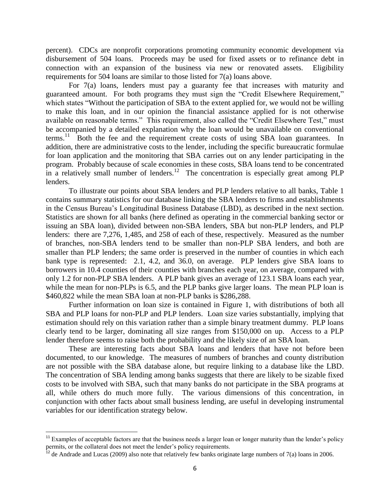percent). CDCs are nonprofit corporations promoting community economic development via disbursement of 504 loans. Proceeds may be used for fixed assets or to refinance debt in connection with an expansion of the business via new or renovated assets. Eligibility requirements for 504 loans are similar to those listed for 7(a) loans above.

For 7(a) loans, lenders must pay a guaranty fee that increases with maturity and guaranteed amount. For both programs they must sign the "Credit Elsewhere Requirement," which states "Without the participation of SBA to the extent applied for, we would not be willing to make this loan, and in our opinion the financial assistance applied for is not otherwise available on reasonable terms." This requirement, also called the "Credit Elsewhere Test," must be accompanied by a detailed explanation why the loan would be unavailable on conventional terms.<sup>11</sup> Both the fee and the requirement create costs of using SBA loan guarantees. In addition, there are administrative costs to the lender, including the specific bureaucratic formulae for loan application and the monitoring that SBA carries out on any lender participating in the program. Probably because of scale economies in these costs, SBA loans tend to be concentrated in a relatively small number of lenders.<sup>12</sup> The concentration is especially great among PLP lenders.

To illustrate our points about SBA lenders and PLP lenders relative to all banks, Table 1 contains summary statistics for our database linking the SBA lenders to firms and establishments in the Census Bureau's Longitudinal Business Database (LBD), as described in the next section. Statistics are shown for all banks (here defined as operating in the commercial banking sector or issuing an SBA loan), divided between non-SBA lenders, SBA but non-PLP lenders, and PLP lenders: there are 7,276, 1,485, and 258 of each of these, respectively. Measured as the number of branches, non-SBA lenders tend to be smaller than non-PLP SBA lenders, and both are smaller than PLP lenders; the same order is preserved in the number of counties in which each bank type is represented: 2.1, 4.2, and 36.0, on average. PLP lenders give SBA loans to borrowers in 10.4 counties of their counties with branches each year, on average, compared with only 1.2 for non-PLP SBA lenders. A PLP bank gives an average of 123.1 SBA loans each year, while the mean for non-PLPs is 6.5, and the PLP banks give larger loans. The mean PLP loan is \$460,822 while the mean SBA loan at non-PLP banks is \$286,288.

Further information on loan size is contained in Figure 1, with distributions of both all SBA and PLP loans for non-PLP and PLP lenders. Loan size varies substantially, implying that estimation should rely on this variation rather than a simple binary treatment dummy. PLP loans clearly tend to be larger, dominating all size ranges from \$150,000 on up. Access to a PLP lender therefore seems to raise both the probability and the likely size of an SBA loan.

These are interesting facts about SBA loans and lenders that have not before been documented, to our knowledge. The measures of numbers of branches and county distribution are not possible with the SBA database alone, but require linking to a database like the LBD. The concentration of SBA lending among banks suggests that there are likely to be sizable fixed costs to be involved with SBA, such that many banks do not participate in the SBA programs at all, while others do much more fully. The various dimensions of this concentration, in conjunction with other facts about small business lending, are useful in developing instrumental variables for our identification strategy below.

 $\overline{\phantom{a}}$ 

 $11$  Examples of acceptable factors are that the business needs a larger loan or longer maturity than the lender's policy permits, or the collateral does not meet the lender's policy requirements.

 $12$  de Andrade and Lucas (2009) also note that relatively few banks originate large numbers of 7(a) loans in 2006.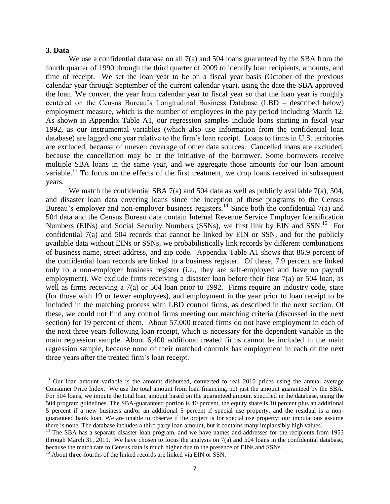#### **3. Data**

 $\overline{\phantom{a}}$ 

We use a confidential database on all 7(a) and 504 loans guaranteed by the SBA from the fourth quarter of 1990 through the third quarter of 2009 to identify loan recipients, amounts, and time of receipt. We set the loan year to be on a fiscal year basis (October of the previous calendar year through September of the current calendar year), using the date the SBA approved the loan. We convert the year from calendar year to fiscal year so that the loan year is roughly centered on the Census Bureau's Longitudinal Business Database (LBD – described below) employment measure, which is the number of employees in the pay period including March 12. As shown in Appendix Table A1, our regression samples include loans starting in fiscal year 1992, as our instrumental variables (which also use information from the confidential loan database) are lagged one year relative to the firm's loan receipt. Loans to firms in U.S. territories are excluded, because of uneven coverage of other data sources. Cancelled loans are excluded, because the cancellation may be at the initiative of the borrower. Some borrowers receive multiple SBA loans in the same year, and we aggregate those amounts for our loan amount variable.<sup>13</sup> To focus on the effects of the first treatment, we drop loans received in subsequent years.

We match the confidential SBA 7(a) and 504 data as well as publicly available 7(a), 504, and disaster loan data covering loans since the inception of these programs to the Census Bureau's employer and non-employer business registers.<sup>14</sup> Since both the confidential 7(a) and 504 data and the Census Bureau data contain Internal Revenue Service Employer Identification Numbers (EINs) and Social Security Numbers (SSNs), we first link by EIN and SSN.<sup>15</sup> For confidential 7(a) and 504 records that cannot be linked by EIN or SSN, and for the publicly available data without EINs or SSNs, we probabilistically link records by different combinations of business name, street address, and zip code. Appendix Table A1 shows that 86.9 percent of the confidential loan records are linked to a business register. Of these, 7.9 percent are linked only to a non-employer business register (i.e., they are self-employed and have no payroll employment). We exclude firms receiving a disaster loan before their first 7(a) or 504 loan, as well as firms receiving a 7(a) or 504 loan prior to 1992. Firms require an industry code, state (for those with 19 or fewer employees), and employment in the year prior to loan receipt to be included in the matching process with LBD control firms, as described in the next section. Of these, we could not find any control firms meeting our matching criteria (discussed in the next section) for 19 percent of them. About 57,000 treated firms do not have employment in each of the next three years following loan receipt, which is necessary for the dependent variable in the main regression sample. About 6,400 additional treated firms cannot be included in the main regression sample, because none of their matched controls has employment in each of the next three years after the treated firm's loan receipt.

<sup>&</sup>lt;sup>13</sup> Our loan amount variable is the amount disbursed, converted to real 2010 prices using the annual average Consumer Price Index. We use the total amount from loan financing, not just the amount guaranteed by the SBA. For 504 loans, we impute the total loan amount based on the guaranteed amount specified in the database, using the 504 program guidelines. The SBA-guaranteed portion is 40 percent, the equity share is 10 percent plus an additional 5 percent if a new business and/or an additional 5 percent if special use property, and the residual is a nonguaranteed bank loan. We are unable to observe if the project is for special use property; our imputations assume there is none. The database includes a third party loan amount, but it contains many implausibly high values.

<sup>&</sup>lt;sup>14</sup> The SBA has a separate disaster loan program, and we have names and addresses for the recipients from 1953 through March 31, 2011. We have chosen to focus the analysis on 7(a) and 504 loans in the confidential database, because the match rate to Census data is much higher due to the presence of EINs and SSNs.

<sup>&</sup>lt;sup>15</sup> About three-fourths of the linked records are linked via EIN or SSN.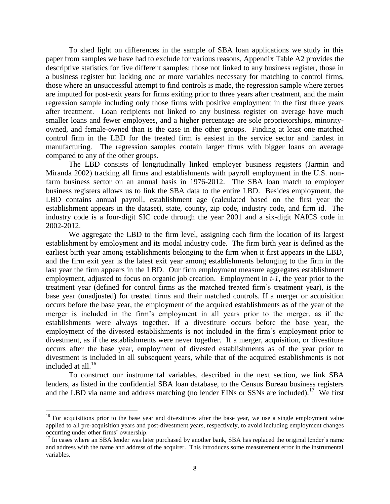To shed light on differences in the sample of SBA loan applications we study in this paper from samples we have had to exclude for various reasons, Appendix Table A2 provides the descriptive statistics for five different samples: those not linked to any business register, those in a business register but lacking one or more variables necessary for matching to control firms, those where an unsuccessful attempt to find controls is made, the regression sample where zeroes are imputed for post-exit years for firms exiting prior to three years after treatment, and the main regression sample including only those firms with positive employment in the first three years after treatment. Loan recipients not linked to any business register on average have much smaller loans and fewer employees, and a higher percentage are sole proprietorships, minorityowned, and female-owned than is the case in the other groups. Finding at least one matched control firm in the LBD for the treated firm is easiest in the service sector and hardest in manufacturing. The regression samples contain larger firms with bigger loans on average compared to any of the other groups.

The LBD consists of longitudinally linked employer business registers (Jarmin and Miranda 2002) tracking all firms and establishments with payroll employment in the U.S. nonfarm business sector on an annual basis in 1976-2012. The SBA loan match to employer business registers allows us to link the SBA data to the entire LBD. Besides employment, the LBD contains annual payroll, establishment age (calculated based on the first year the establishment appears in the dataset), state, county, zip code, industry code, and firm id. The industry code is a four-digit SIC code through the year 2001 and a six-digit NAICS code in 2002-2012.

We aggregate the LBD to the firm level, assigning each firm the location of its largest establishment by employment and its modal industry code. The firm birth year is defined as the earliest birth year among establishments belonging to the firm when it first appears in the LBD, and the firm exit year is the latest exit year among establishments belonging to the firm in the last year the firm appears in the LBD. Our firm employment measure aggregates establishment employment, adjusted to focus on organic job creation. Employment in *t-1*, the year prior to the treatment year (defined for control firms as the matched treated firm's treatment year), is the base year (unadjusted) for treated firms and their matched controls. If a merger or acquisition occurs before the base year, the employment of the acquired establishments as of the year of the merger is included in the firm's employment in all years prior to the merger, as if the establishments were always together. If a divestiture occurs before the base year, the employment of the divested establishments is not included in the firm's employment prior to divestment, as if the establishments were never together. If a merger, acquisition, or divestiture occurs after the base year, employment of divested establishments as of the year prior to divestment is included in all subsequent years, while that of the acquired establishments is not included at all.<sup>16</sup>

To construct our instrumental variables, described in the next section, we link SBA lenders, as listed in the confidential SBA loan database, to the Census Bureau business registers and the LBD via name and address matching (no lender EINs or SSNs are included).<sup>17</sup> We first

l

<sup>&</sup>lt;sup>16</sup> For acquisitions prior to the base year and divestitures after the base year, we use a single employment value applied to all pre-acquisition years and post-divestment years, respectively, to avoid including employment changes occurring under other firms' ownership.

<sup>&</sup>lt;sup>17</sup> In cases where an SBA lender was later purchased by another bank, SBA has replaced the original lender's name and address with the name and address of the acquirer. This introduces some measurement error in the instrumental variables.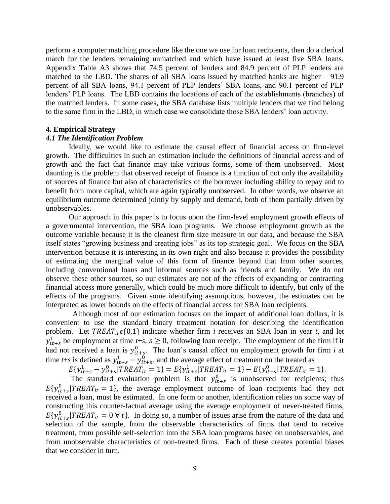perform a computer matching procedure like the one we use for loan recipients, then do a clerical match for the lenders remaining unmatched and which have issued at least five SBA loans. Appendix Table A3 shows that 74.5 percent of lenders and 84.9 percent of PLP lenders are matched to the LBD. The shares of all SBA loans issued by matched banks are higher – 91.9 percent of all SBA loans, 94.1 percent of PLP lenders' SBA loans, and 90.1 percent of PLP lenders' PLP loans. The LBD contains the locations of each of the establishments (branches) of the matched lenders. In some cases, the SBA database lists multiple lenders that we find belong to the same firm in the LBD, in which case we consolidate those SBA lenders' loan activity.

#### **4. Empirical Strategy**

#### *4.1 The Identification Problem*

Ideally, we would like to estimate the causal effect of financial access on firm-level growth. The difficulties in such an estimation include the definitions of financial access and of growth and the fact that finance may take various forms, some of them unobserved. Most daunting is the problem that observed receipt of finance is a function of not only the availability of sources of finance but also of characteristics of the borrower including ability to repay and to benefit from more capital, which are again typically unobserved. In other words, we observe an equilibrium outcome determined jointly by supply and demand, both of them partially driven by unobservables.

Our approach in this paper is to focus upon the firm-level employment growth effects of a governmental intervention, the SBA loan programs. We choose employment growth as the outcome variable because it is the cleanest firm size measure in our data, and because the SBA itself states "growing business and creating jobs" as its top strategic goal. We focus on the SBA intervention because it is interesting in its own right and also because it provides the possibility of estimating the marginal value of this form of finance beyond that from other sources, including conventional loans and informal sources such as friends and family. We do not observe these other sources, so our estimates are not of the effects of expanding or contracting financial access more generally, which could be much more difficult to identify, but only of the effects of the programs. Given some identifying assumptions, however, the estimates can be interpreted as lower bounds on the effects of financial access for SBA loan recipients.

 Although most of our estimation focuses on the impact of additional loan dollars, it is convenient to use the standard binary treatment notation for describing the identification problem. Let  $TREAT_{it} \epsilon \{0,1\}$  indicate whether firm *i* receives an SBA loan in year *t*, and let  $y_{it+s}^1$  be employment at time *t*+*s*,  $s \ge 0$ , following loan receipt. The employment of the firm if it had not received a loan is  $y_{it+s}^0$ . The loan's causal effect on employment growth for firm *i* at time *t*+*s* is defined as  $y_{it+s}^1 - y_{it+s}^0$ , and the average effect of treatment on the treated as

 $E{y<sub>it+s</sub><sup>1</sup> - y<sub>it+s</sub><sup>0</sup> | TREAT<sub>it</sub> = 1} = E{y<sub>it+s</sub><sup>1</sup> | TREAT<sub>it</sub> = 1} - E{y<sub>it+s</sub><sup>0</sup> | TREAT<sub>it</sub> = 1}.$ 

The standard evaluation problem is that  $y_{it+s}^0$  is unobserved for recipients; thus  $E{y_{it+s}^0}$  (TREAT<sub>it</sub> = 1), the average employment outcome of loan recipients had they not received a loan, must be estimated. In one form or another, identification relies on some way of constructing this counter-factual average using the average employment of never-treated firms,  $E{y_{it+s}^0}$  [TREAT<sub>it</sub> = 0  $\forall$  t}. In doing so, a number of issues arise from the nature of the data and selection of the sample, from the observable characteristics of firms that tend to receive treatment, from possible self-selection into the SBA loan programs based on unobservables, and from unobservable characteristics of non-treated firms. Each of these creates potential biases that we consider in turn.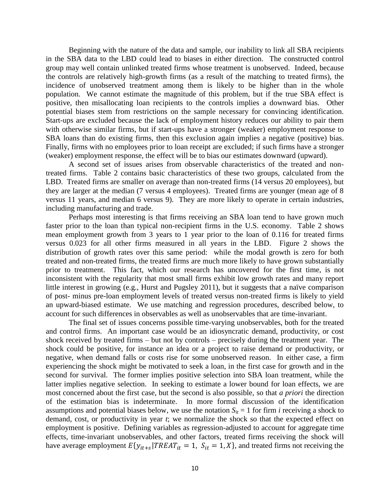Beginning with the nature of the data and sample, our inability to link all SBA recipients in the SBA data to the LBD could lead to biases in either direction. The constructed control group may well contain unlinked treated firms whose treatment is unobserved. Indeed, because the controls are relatively high-growth firms (as a result of the matching to treated firms), the incidence of unobserved treatment among them is likely to be higher than in the whole population. We cannot estimate the magnitude of this problem, but if the true SBA effect is positive, then misallocating loan recipients to the controls implies a downward bias. Other potential biases stem from restrictions on the sample necessary for convincing identification. Start-ups are excluded because the lack of employment history reduces our ability to pair them with otherwise similar firms, but if start-ups have a stronger (weaker) employment response to SBA loans than do existing firms, then this exclusion again implies a negative (positive) bias. Finally, firms with no employees prior to loan receipt are excluded; if such firms have a stronger (weaker) employment response, the effect will be to bias our estimates downward (upward).

A second set of issues arises from observable characteristics of the treated and nontreated firms. Table 2 contains basic characteristics of these two groups, calculated from the LBD. Treated firms are smaller on average than non-treated firms (14 versus 20 employees), but they are larger at the median (7 versus 4 employees). Treated firms are younger (mean age of 8 versus 11 years, and median 6 versus 9). They are more likely to operate in certain industries, including manufacturing and trade.

Perhaps most interesting is that firms receiving an SBA loan tend to have grown much faster prior to the loan than typical non-recipient firms in the U.S. economy. Table 2 shows mean employment growth from 3 years to 1 year prior to the loan of 0.116 for treated firms versus 0.023 for all other firms measured in all years in the LBD. Figure 2 shows the distribution of growth rates over this same period: while the modal growth is zero for both treated and non-treated firms, the treated firms are much more likely to have grown substantially prior to treatment. This fact, which our research has uncovered for the first time, is not inconsistent with the regularity that most small firms exhibit low growth rates and many report little interest in growing (e.g., Hurst and Pugsley 2011), but it suggests that a naïve comparison of post- minus pre-loan employment levels of treated versus non-treated firms is likely to yield an upward-biased estimate. We use matching and regression procedures, described below, to account for such differences in observables as well as unobservables that are time-invariant.

The final set of issues concerns possible time-varying unobservables, both for the treated and control firms. An important case would be an idiosyncratic demand, productivity, or cost shock received by treated firms – but not by controls – precisely during the treatment year. The shock could be positive, for instance an idea or a project to raise demand or productivity, or negative, when demand falls or costs rise for some unobserved reason. In either case, a firm experiencing the shock might be motivated to seek a loan, in the first case for growth and in the second for survival. The former implies positive selection into SBA loan treatment, while the latter implies negative selection. In seeking to estimate a lower bound for loan effects, we are most concerned about the first case, but the second is also possible, so that *a priori* the direction of the estimation bias is indeterminate. In more formal discussion of the identification assumptions and potential biases below, we use the notation  $S_{it} = 1$  for firm *i* receiving a shock to demand, cost, or productivity in year *t*; we normalize the shock so that the expected effect on employment is positive. Defining variables as regression-adjusted to account for aggregate time effects, time-invariant unobservables, and other factors, treated firms receiving the shock will have average employment  $E{y_{it+s}}|TREAT_{it} = 1$ ,  $S_{it} = 1, X$ , and treated firms not receiving the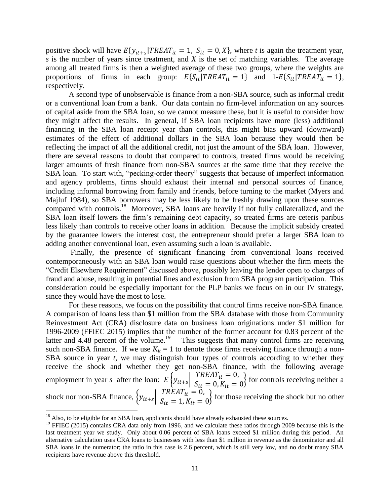positive shock will have  $E{y_{it+s}}|TREAT_{it} = 1$ ,  $S_{it} = 0, X$ , where *t* is again the treatment year, *s* is the number of years since treatment, and *X* is the set of matching variables. The average among all treated firms is then a weighted average of these two groups, where the weights are proportions of firms in each group:  $E\{S_{it} | TREAT_{it} = 1\}$  and  $1-E\{S_{it} | TREAT_{it} = 1\}$ , respectively.

A second type of unobservable is finance from a non-SBA source, such as informal credit or a conventional loan from a bank. Our data contain no firm-level information on any sources of capital aside from the SBA loan, so we cannot measure these, but it is useful to consider how they might affect the results. In general, if SBA loan recipients have more (less) additional financing in the SBA loan receipt year than controls, this might bias upward (downward) estimates of the effect of additional dollars in the SBA loan because they would then be reflecting the impact of all the additional credit, not just the amount of the SBA loan. However, there are several reasons to doubt that compared to controls, treated firms would be receiving larger amounts of fresh finance from non-SBA sources at the same time that they receive the SBA loan. To start with, "pecking-order theory" suggests that because of imperfect information and agency problems, firms should exhaust their internal and personal sources of finance, including informal borrowing from family and friends, before turning to the market (Myers and Majluf 1984), so SBA borrowers may be less likely to be freshly drawing upon these sources compared with controls.<sup>18</sup> Moreover, SBA loans are heavily if not fully collateralized, and the SBA loan itself lowers the firm's remaining debt capacity, so treated firms are ceteris paribus less likely than controls to receive other loans in addition. Because the implicit subsidy created by the guarantee lowers the interest cost, the entrepreneur should prefer a larger SBA loan to adding another conventional loan, even assuming such a loan is available.

Finally, the presence of significant financing from conventional loans received contemporaneously with an SBA loan would raise questions about whether the firm meets the "Credit Elsewhere Requirement" discussed above, possibly leaving the lender open to charges of fraud and abuse, resulting in potential fines and exclusion from SBA program participation. This consideration could be especially important for the PLP banks we focus on in our IV strategy, since they would have the most to lose.

For these reasons, we focus on the possibility that control firms receive non-SBA finance. A comparison of loans less than \$1 million from the SBA database with those from Community Reinvestment Act (CRA) disclosure data on business loan originations under \$1 million for 1996-2009 (FFIEC 2015) implies that the number of the former account for 0.83 percent of the latter and  $4.48$  percent of the volume.<sup>19</sup> This suggests that many control firms are receiving such non-SBA finance. If we use  $K_{it} = 1$  to denote those firms receiving finance through a non-SBA source in year *t*, we may distinguish four types of controls according to whether they receive the shock and whether they get non-SBA finance, with the following average employment in year *s* after the loan:  $E\left\{y_{it+s}\right\}$   $\begin{array}{c} TREAT_{it} = 0, \\ S_n = 0, K_n = 0 \end{array}$  $S_{it} = 0, K_{it} = 0$  for controls receiving neither a shock nor non-SBA finance,  $\left\{ y_{it+s} \right\} \begin{array}{l} TREAT_{it} = 0, \\ S_{-} = 1, K_{-} = 1 \end{array}$  $S_{it} = 1, K_{it} = 0$  for those receiving the shock but no other

l

 $18$  Also, to be eligible for an SBA loan, applicants should have already exhausted these sources.

<sup>&</sup>lt;sup>19</sup> FFIEC (2015) contains CRA data only from 1996, and we calculate these ratios through 2009 because this is the last treatment year we study. Only about 0.06 percent of SBA loans exceed \$1 million during this period. An alternative calculation uses CRA loans to businesses with less than \$1 million in revenue as the denominator and all SBA loans in the numerator; the ratio in this case is 2.6 percent, which is still very low, and no doubt many SBA recipients have revenue above this threshold.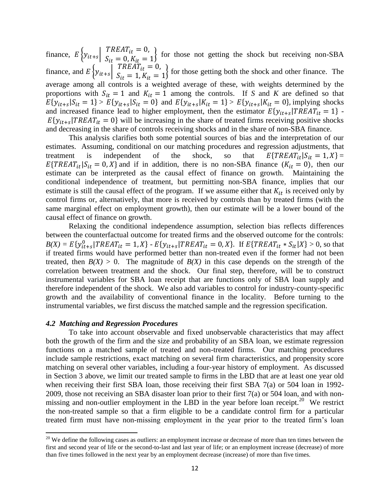finance,  $E\left\{y_{it+s}\right\}$   $\begin{array}{c} TREAT_{it} = 0, \\ S_{-} = 0, K_{-} = 0 \end{array}$  $S_{it} = 0, K_{it} = 1$  for those not getting the shock but receiving non-SBA finance, and  $E\left\{y_{it+s}\right\}$   $\begin{matrix} TREAT_{it} = 0, \\ S_{it} = 1, K_{it} = 1 \end{matrix}$  $S_{it} = 1, K_{it} = 1$  for those getting both the shock and other finance. The average among all controls is a weighted average of these, with weights determined by the proportions with  $S_{it} = 1$  and  $K_{it} = 1$  among the controls. If *S* and *K* are defined so that  $E\{y_{it+s}|S_{it} = 1\} > E\{y_{it+s}|S_{it} = 0\}$  and  $E\{y_{it+s}|K_{it} = 1\} > E\{y_{it+s}|K_{it} = 0\}$ , implying shocks and increased finance lead to higher employment, then the estimator  $E{y_{it+s}}|TREAT_{it} = 1$ .  $E{y_{it+s}}|TREAT_{it} = 0$  will be increasing in the share of treated firms receiving positive shocks and decreasing in the share of controls receiving shocks and in the share of non-SBA finance.

This analysis clarifies both some potential sources of bias and the interpretation of our estimates. Assuming, conditional on our matching procedures and regression adjustments, that treatment is independent of the shock, so that  $E\{TREAT_{it} | S_{it} = 1, X\} =$  $E\{TREAT_{it} | S_{it} = 0, X\}$  and if in addition, there is no non-SBA finance  $(K_{it} = 0)$ , then our estimate can be interpreted as the causal effect of finance on growth. Maintaining the conditional independence of treatment, but permitting non-SBA finance, implies that our estimate is still the causal effect of the program. If we assume either that  $K_{it}$  is received only by control firms or, alternatively, that more is received by controls than by treated firms (with the same marginal effect on employment growth), then our estimate will be a lower bound of the causal effect of finance on growth.

Relaxing the conditional independence assumption, selection bias reflects differences between the counterfactual outcome for treated firms and the observed outcome for the controls:  $B(X) = E\{y_{it+s}^0 | TREAT_{it} = 1, X\} - E\{y_{it+s} | TREAT_{it} = 0, X\}$ . If  $E\{TREAT_{it} * S_{it} | X\} > 0$ , so that if treated firms would have performed better than non-treated even if the former had not been treated, then  $B(X) > 0$ . The magnitude of  $B(X)$  in this case depends on the strength of the correlation between treatment and the shock. Our final step, therefore, will be to construct instrumental variables for SBA loan receipt that are functions only of SBA loan supply and therefore independent of the shock. We also add variables to control for industry-county-specific growth and the availability of conventional finance in the locality. Before turning to the instrumental variables, we first discuss the matched sample and the regression specification.

#### *4.2 Matching and Regression Procedures*

 $\overline{\phantom{a}}$ 

To take into account observable and fixed unobservable characteristics that may affect both the growth of the firm and the size and probability of an SBA loan, we estimate regression functions on a matched sample of treated and non-treated firms. Our matching procedures include sample restrictions, exact matching on several firm characteristics, and propensity score matching on several other variables, including a four-year history of employment. As discussed in Section 3 above, we limit our treated sample to firms in the LBD that are at least one year old when receiving their first SBA loan, those receiving their first SBA 7(a) or 504 loan in 1992- 2009, those not receiving an SBA disaster loan prior to their first 7(a) or 504 loan, and with nonmissing and non-outlier employment in the LBD in the year before loan receipt.<sup>20</sup> We restrict the non-treated sample so that a firm eligible to be a candidate control firm for a particular treated firm must have non-missing employment in the year prior to the treated firm's loan

 $20$  We define the following cases as outliers: an employment increase or decrease of more than ten times between the first and second year of life or the second-to-last and last year of life; or an employment increase (decrease) of more than five times followed in the next year by an employment decrease (increase) of more than five times.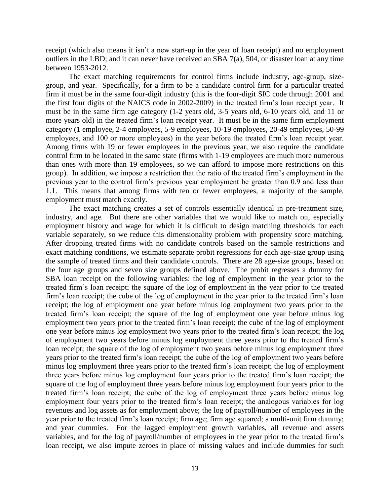receipt (which also means it isn't a new start-up in the year of loan receipt) and no employment outliers in the LBD; and it can never have received an SBA 7(a), 504, or disaster loan at any time between 1953-2012.

The exact matching requirements for control firms include industry, age-group, sizegroup, and year. Specifically, for a firm to be a candidate control firm for a particular treated firm it must be in the same four-digit industry (this is the four-digit SIC code through 2001 and the first four digits of the NAICS code in 2002-2009) in the treated firm's loan receipt year. It must be in the same firm age category (1-2 years old, 3-5 years old, 6-10 years old, and 11 or more years old) in the treated firm's loan receipt year. It must be in the same firm employment category (1 employee, 2-4 employees, 5-9 employees, 10-19 employees, 20-49 employees, 50-99 employees, and 100 or more employees) in the year before the treated firm's loan receipt year. Among firms with 19 or fewer employees in the previous year, we also require the candidate control firm to be located in the same state (firms with 1-19 employees are much more numerous than ones with more than 19 employees, so we can afford to impose more restrictions on this group). In addition, we impose a restriction that the ratio of the treated firm's employment in the previous year to the control firm's previous year employment be greater than 0.9 and less than 1.1. This means that among firms with ten or fewer employees, a majority of the sample, employment must match exactly.

The exact matching creates a set of controls essentially identical in pre-treatment size, industry, and age. But there are other variables that we would like to match on, especially employment history and wage for which it is difficult to design matching thresholds for each variable separately, so we reduce this dimensionality problem with propensity score matching. After dropping treated firms with no candidate controls based on the sample restrictions and exact matching conditions, we estimate separate probit regressions for each age-size group using the sample of treated firms and their candidate controls. There are 28 age-size groups, based on the four age groups and seven size groups defined above. The probit regresses a dummy for SBA loan receipt on the following variables: the log of employment in the year prior to the treated firm's loan receipt; the square of the log of employment in the year prior to the treated firm's loan receipt; the cube of the log of employment in the year prior to the treated firm's loan receipt; the log of employment one year before minus log employment two years prior to the treated firm's loan receipt; the square of the log of employment one year before minus log employment two years prior to the treated firm's loan receipt; the cube of the log of employment one year before minus log employment two years prior to the treated firm's loan receipt; the log of employment two years before minus log employment three years prior to the treated firm's loan receipt; the square of the log of employment two years before minus log employment three years prior to the treated firm's loan receipt; the cube of the log of employment two years before minus log employment three years prior to the treated firm's loan receipt; the log of employment three years before minus log employment four years prior to the treated firm's loan receipt; the square of the log of employment three years before minus log employment four years prior to the treated firm's loan receipt; the cube of the log of employment three years before minus log employment four years prior to the treated firm's loan receipt; the analogous variables for log revenues and log assets as for employment above; the log of payroll/number of employees in the year prior to the treated firm's loan receipt; firm age; firm age squared; a multi-unit firm dummy; and year dummies. For the lagged employment growth variables, all revenue and assets variables, and for the log of payroll/number of employees in the year prior to the treated firm's loan receipt, we also impute zeroes in place of missing values and include dummies for such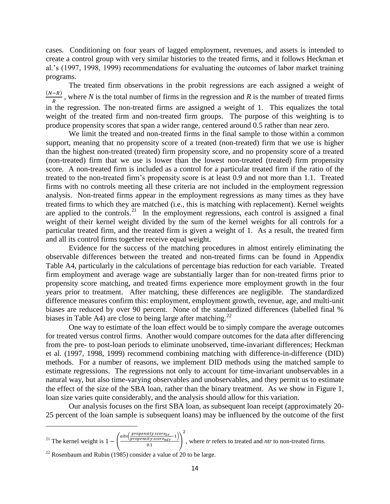cases. Conditioning on four years of lagged employment, revenues, and assets is intended to create a control group with very similar histories to the treated firms, and it follows Heckman et al.'s (1997, 1998, 1999) recommendations for evaluating the outcomes of labor market training programs.

The treated firm observations in the probit regressions are each assigned a weight of  $(N-R)$  $\frac{R}{R}$ , where *N* is the total number of firms in the regression and *R* is the number of treated firms in the regression. The non-treated firms are assigned a weight of 1. This equalizes the total weight of the treated firm and non-treated firm groups. The purpose of this weighting is to produce propensity scores that span a wider range, centered around 0.5 rather than near zero.

We limit the treated and non-treated firms in the final sample to those within a common support, meaning that no propensity score of a treated (non-treated) firm that we use is higher than the highest non-treated (treated) firm propensity score, and no propensity score of a treated (non-treated) firm that we use is lower than the lowest non-treated (treated) firm propensity score. A non-treated firm is included as a control for a particular treated firm if the ratio of the treated to the non-treated firm's propensity score is at least 0.9 and not more than 1.1. Treated firms with no controls meeting all these criteria are not included in the employment regression analysis. Non-treated firms appear in the employment regressions as many times as they have treated firms to which they are matched (i.e., this is matching with replacement). Kernel weights are applied to the controls.<sup>21</sup> In the employment regressions, each control is assigned a final weight of their kernel weight divided by the sum of the kernel weights for all controls for a particular treated firm, and the treated firm is given a weight of 1. As a result, the treated firm and all its control firms together receive equal weight.

Evidence for the success of the matching procedures in almost entirely eliminating the observable differences between the treated and non-treated firms can be found in Appendix Table A4, particularly in the calculations of percentage bias reduction for each variable. Treated firm employment and average wage are substantially larger than for non-treated firms prior to propensity score matching, and treated firms experience more employment growth in the four years prior to treatment. After matching, these differences are negligible. The standardized difference measures confirm this: employment, employment growth, revenue, age, and multi-unit biases are reduced by over 90 percent. None of the standardized differences (labelled final % biases in Table A4) are close to being large after matching.<sup>22</sup>

One way to estimate of the loan effect would be to simply compare the average outcomes for treated versus control firms. Another would compare outcomes for the data after differencing from the pre- to post-loan periods to eliminate unobserved, time-invariant differences; Heckman et al. (1997, 1998, 1999) recommend combining matching with difference-in-difference (DID) methods. For a number of reasons, we implement DID methods using the matched sample to estimate regressions. The regressions not only to account for time-invariant unobservables in a natural way, but also time-varying observables and unobservables, and they permit us to estimate the effect of the size of the SBA loan, rather than the binary treatment. As we show in Figure 1, loan size varies quite considerably, and the analysis should allow for this variation.

Our analysis focuses on the first SBA loan, as subsequent loan receipt (approximately 20- 25 percent of the loan sample is subsequent loans) may be influenced by the outcome of the first

<sup>21</sup> The Kernel weight is 
$$
1 - \left(\frac{abs(\frac{propensity score_{tr}}{propensity score_{thr}} - 1)}{0.1}\right)^2
$$
, where *tr* refers to treated and *ntr* to non-treated firms.

 $\overline{\phantom{a}}$ 

 $22$  Rosenbaum and Rubin (1985) consider a value of 20 to be large.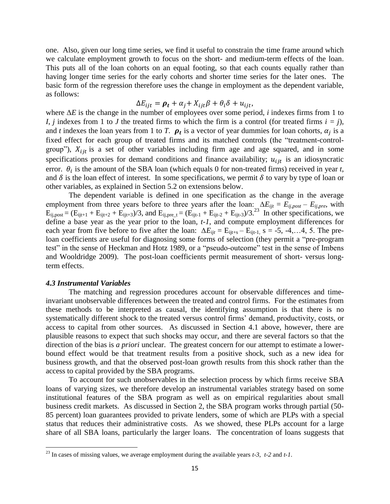one. Also, given our long time series, we find it useful to constrain the time frame around which we calculate employment growth to focus on the short- and medium-term effects of the loan. This puts all of the loan cohorts on an equal footing, so that each counts equally rather than having longer time series for the early cohorts and shorter time series for the later ones. The basic form of the regression therefore uses the change in employment as the dependent variable, as follows:

$$
\Delta E_{ijt} = \boldsymbol{\rho}_t + \alpha_j + X_{ijt}\boldsymbol{\beta} + \theta_i\boldsymbol{\delta} + u_{ijt},
$$

where  $\Delta E$  is the change in the number of employees over some period, *i* indexes firms from 1 to *I*, *j* indexes from 1 to *J* the treated firms to which the firm is a control (for treated firms  $i = j$ ), and *t* indexes the loan years from 1 to *T*.  $\rho_t$  is a vector of year dummies for loan cohorts,  $\alpha_j$  is a fixed effect for each group of treated firms and its matched controls (the "treatment-controlgroup"),  $X_{ijt}$  is a set of other variables including firm age and age squared, and in some specifications proxies for demand conditions and finance availability;  $u_{ijt}$  is an idiosyncratic error.  $\theta_i$  is the amount of the SBA loan (which equals 0 for non-treated firms) received in year *t*, and  $\delta$  is the loan effect of interest. In some specifications, we permit  $\delta$  to vary by type of loan or other variables, as explained in Section 5.2 on extensions below.

The dependent variable is defined in one specification as the change in the average employment from three years before to three years after the loan:  $\Delta E_{ijt} = E_{ij,post} - E_{ij,pre}$ , with  $E_{ij,post} = (E_{ijt+1} + E_{ijt+2} + E_{ijt+3})/3$ , and  $E_{ij,pre_t} = (E_{ijt-1} + E_{ijt-2} + E_{ijt-3})/3$ .<sup>23</sup> In other specifications, we define a base year as the year prior to the loan, *t-1*, and compute employment differences for each year from five before to five after the loan:  $\Delta E_{ijt} = E_{ijt+s} - E_{ijt-1}$ , s = -5, -4,...4, 5. The preloan coefficients are useful for diagnosing some forms of selection (they permit a "pre-program test" in the sense of Heckman and Hotz 1989, or a "pseudo-outcome" test in the sense of Imbens and Wooldridge 2009). The post-loan coefficients permit measurement of short- versus longterm effects.

#### *4.3 Instrumental Variables*

 $\overline{\phantom{a}}$ 

The matching and regression procedures account for observable differences and timeinvariant unobservable differences between the treated and control firms. For the estimates from these methods to be interpreted as causal, the identifying assumption is that there is no systematically different shock to the treated versus control firms' demand, productivity, costs, or access to capital from other sources. As discussed in Section 4.1 above, however, there are plausible reasons to expect that such shocks may occur, and there are several factors so that the direction of the bias is *a priori* unclear. The greatest concern for our attempt to estimate a lowerbound effect would be that treatment results from a positive shock, such as a new idea for business growth, and that the observed post-loan growth results from this shock rather than the access to capital provided by the SBA programs.

To account for such unobservables in the selection process by which firms receive SBA loans of varying sizes, we therefore develop an instrumental variables strategy based on some institutional features of the SBA program as well as on empirical regularities about small business credit markets. As discussed in Section 2, the SBA program works through partial (50- 85 percent) loan guarantees provided to private lenders, some of which are PLPs with a special status that reduces their administrative costs. As we showed, these PLPs account for a large share of all SBA loans, particularly the larger loans. The concentration of loans suggests that

<sup>23</sup> In cases of missing values, we average employment during the available years *t-3*, *t-2* and *t-1*.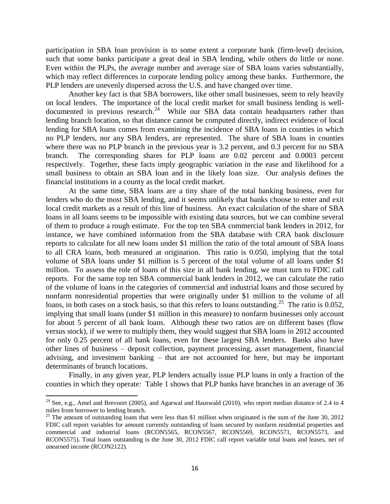participation in SBA loan provision is to some extent a corporate bank (firm-level) decision, such that some banks participate a great deal in SBA lending, while others do little or none. Even within the PLPs, the average number and average size of SBA loans varies substantially, which may reflect differences in corporate lending policy among these banks. Furthermore, the PLP lenders are unevenly dispersed across the U.S. and have changed over time.

Another key fact is that SBA borrowers, like other small businesses, seem to rely heavily on local lenders. The importance of the local credit market for small business lending is welldocumented in previous research.<sup>24</sup> While our SBA data contain headquarters rather than lending branch location, so that distance cannot be computed directly, indirect evidence of local lending for SBA loans comes from examining the incidence of SBA loans in counties in which no PLP lenders, nor any SBA lenders, are represented. The share of SBA loans in counties where there was no PLP branch in the previous year is 3.2 percent, and 0.3 percent for no SBA branch. The corresponding shares for PLP loans are 0.02 percent and 0.0003 percent respectively. Together, these facts imply geographic variation in the ease and likelihood for a small business to obtain an SBA loan and in the likely loan size. Our analysis defines the financial institutions in a county as the local credit market.

At the same time, SBA loans are a tiny share of the total banking business, even for lenders who do the most SBA lending, and it seems unlikely that banks choose to enter and exit local credit markets as a result of this line of business. An exact calculation of the share of SBA loans in all loans seems to be impossible with existing data sources, but we can combine several of them to produce a rough estimate. For the top ten SBA commercial bank lenders in 2012, for instance, we have combined information from the SBA database with CRA bank disclosure reports to calculate for all new loans under \$1 million the ratio of the total amount of SBA loans to all CRA loans, both measured at origination. This ratio is 0.050, implying that the total volume of SBA loans under \$1 million is 5 percent of the total volume of all loans under \$1 million. To assess the role of loans of this size in all bank lending, we must turn to FDIC call reports. For the same top ten SBA commercial bank lenders in 2012, we can calculate the ratio of the volume of loans in the categories of commercial and industrial loans and those secured by nonfarm nonresidential properties that were originally under \$1 million to the volume of all loans, in both cases on a stock basis, so that this refers to loans outstanding.<sup>25</sup> The ratio is 0.052, implying that small loans (under \$1 million in this measure) to nonfarm businesses only account for about 5 percent of all bank loans. Although these two ratios are on different bases (flow versus stock), if we were to multiply them, they would suggest that SBA loans in 2012 accounted for only 0.25 percent of all bank loans, even for these largest SBA lenders. Banks also have other lines of business – deposit collection, payment processing, asset management, financial advising, and investment banking – that are not accounted for here, but may be important determinants of branch locations.

Finally, in any given year, PLP lenders actually issue PLP loans in only a fraction of the counties in which they operate: Table 1 shows that PLP banks have branches in an average of 36

l

<sup>&</sup>lt;sup>24</sup> See, e.g., Amel and Brevoort (2005), and Agarwal and Hauswald (2010), who report median distance of 2.4 to 4 miles from borrower to lending branch.

 $25$  The amount of outstanding loans that were less than \$1 million when originated is the sum of the June 30, 2012 FDIC call report variables for amount currently outstanding of loans secured by nonfarm residential properties and commercial and industrial loans (RCON5565, RCON5567, RCON5569, RCON5571, RCON5573, and RCON5575). Total loans outstanding is the June 30, 2012 FDIC call report variable total loans and leases, net of unearned income (RCON2122).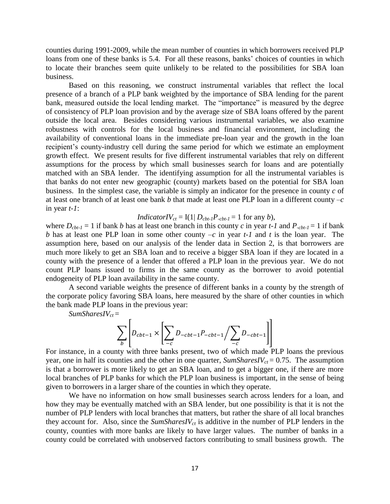counties during 1991-2009, while the mean number of counties in which borrowers received PLP loans from one of these banks is 5.4. For all these reasons, banks' choices of counties in which to locate their branches seem quite unlikely to be related to the possibilities for SBA loan business.

Based on this reasoning, we construct instrumental variables that reflect the local presence of a branch of a PLP bank weighted by the importance of SBA lending for the parent bank, measured outside the local lending market. The "importance" is measured by the degree of consistency of PLP loan provision and by the average size of SBA loans offered by the parent outside the local area. Besides considering various instrumental variables, we also examine robustness with controls for the local business and financial environment, including the availability of conventional loans in the immediate pre-loan year and the growth in the loan recipient's county-industry cell during the same period for which we estimate an employment growth effect. We present results for five different instrumental variables that rely on different assumptions for the process by which small businesses search for loans and are potentially matched with an SBA lender. The identifying assumption for all the instrumental variables is that banks do not enter new geographic (county) markets based on the potential for SBA loan business. In the simplest case, the variable is simply an indicator for the presence in county *c* of at least one branch of at least one bank *b* that made at least one PLP loan in a different county *–c* in year *t-1*:

#### *IndicatorIV*<sub>*ct*</sub> = I(1|  $D_{cbt-1}P_{cbt-1} = 1$  for any *b*),

where  $D_{cbt-1} = 1$  if bank *b* has at least one branch in this county *c* in year *t*-1 and  $P_{cbt-1} = 1$  if bank *b* has at least one PLP loan in some other county *–c* in year *t-1* and *t* is the loan year. The assumption here, based on our analysis of the lender data in Section 2, is that borrowers are much more likely to get an SBA loan and to receive a bigger SBA loan if they are located in a county with the presence of a lender that offered a PLP loan in the previous year. We do not count PLP loans issued to firms in the same county as the borrower to avoid potential endogeneity of PLP loan availability in the same county.

A second variable weights the presence of different banks in a county by the strength of the corporate policy favoring SBA loans, here measured by the share of other counties in which the bank made PLP loans in the previous year:

*SumSharesIVct* =

$$
\sum_{b}\left[D_{cbt-1}\times\left[\sum_{-c}D_{-cbt-1}P_{-cbt-1}\middle/\sum_{-c}D_{-cbt-1}\right]\right]
$$

For instance, in a county with three banks present, two of which made PLP loans the previous year, one in half its counties and the other in one quarter,  $SumSharesIV_{ct} = 0.75$ . The assumption is that a borrower is more likely to get an SBA loan, and to get a bigger one, if there are more local branches of PLP banks for which the PLP loan business is important, in the sense of being given to borrowers in a larger share of the counties in which they operate.

We have no information on how small businesses search across lenders for a loan, and how they may be eventually matched with an SBA lender, but one possibility is that it is not the number of PLP lenders with local branches that matters, but rather the share of all local branches they account for. Also, since the *SumSharesIVct* is additive in the number of PLP lenders in the county, counties with more banks are likely to have larger values. The number of banks in a county could be correlated with unobserved factors contributing to small business growth. The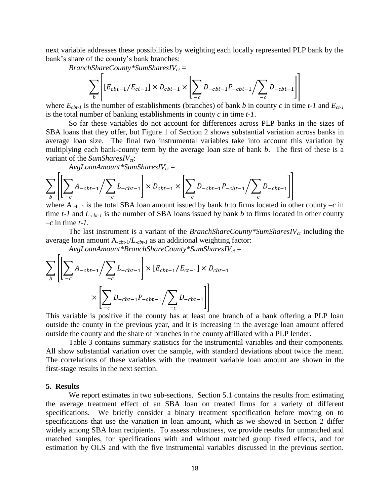next variable addresses these possibilities by weighting each locally represented PLP bank by the bank's share of the county's bank branches:

*BranchShareCounty\*SumSharesIVct* =

$$
\sum_{b} \left[ [E_{cbt-1}/E_{ct-1}] \times D_{cbt-1} \times \left[ \sum_{-c} D_{-cbt-1} P_{-cbt-1} / \sum_{-c} D_{-cbt-1} \right] \right]
$$

where  $E_{cbt-1}$  is the number of establishments (branches) of bank *b* in county *c* in time *t*-1 and  $E_{ct-1}$ is the total number of banking establishments in county *c* in time *t-1*.

So far these variables do not account for differences across PLP banks in the sizes of SBA loans that they offer, but Figure 1 of Section 2 shows substantial variation across banks in average loan size. The final two instrumental variables take into account this variation by multiplying each bank-county term by the average loan size of bank *b*. The first of these is a variant of the *SumSharesIVct*:

*AvgLoanAmount\*SumSharesIVct* =

$$
\sum_{b} \left[ \left[ \sum_{-c} A_{-cbt-1} / \sum_{-c} L_{-cbt-1} \right] \times D_{cbt-1} \times \left[ \sum_{-c} D_{-cbt-1} P_{-cbt-1} / \sum_{-c} D_{-cbt-1} \right] \right]
$$

where  $A_{\text{-}cbt-1}$  is the total SBA loan amount issued by bank *b* to firms located in other county  $-c$  in time *t-1* and *L*<sub>-cbt-1</sub> is the number of SBA loans issued by bank *b* to firms located in other county *–c* in time *t-1*.

The last instrument is a variant of the *BranchShareCounty\*SumSharesIVct* including the average loan amount A-cbt-1/*L-cbt-1* as an additional weighting factor:

*AvgLoanAmount\*BranchShareCounty\*SumSharesIVct* =

$$
\sum_{b} \left[ \left[ \sum_{-c} A_{-cbt-1} / \sum_{-c} L_{-cbt-1} \right] \times \left[ E_{cbt-1} / E_{ct-1} \right] \times D_{cbt-1}
$$

$$
\times \left[ \sum_{-c} D_{-cbt-1} P_{-cbt-1} / \sum_{-c} D_{-cbt-1} \right] \right]
$$

This variable is positive if the county has at least one branch of a bank offering a PLP loan outside the county in the previous year, and it is increasing in the average loan amount offered outside the county and the share of branches in the county affiliated with a PLP lender.

Table 3 contains summary statistics for the instrumental variables and their components. All show substantial variation over the sample, with standard deviations about twice the mean. The correlations of these variables with the treatment variable loan amount are shown in the first-stage results in the next section.

#### **5. Results**

We report estimates in two sub-sections. Section 5.1 contains the results from estimating the average treatment effect of an SBA loan on treated firms for a variety of different specifications. We briefly consider a binary treatment specification before moving on to specifications that use the variation in loan amount, which as we showed in Section 2 differ widely among SBA loan recipients. To assess robustness, we provide results for unmatched and matched samples, for specifications with and without matched group fixed effects, and for estimation by OLS and with the five instrumental variables discussed in the previous section.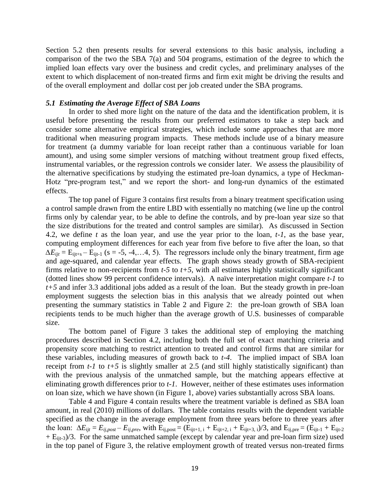Section 5.2 then presents results for several extensions to this basic analysis, including a comparison of the two the SBA  $7(a)$  and 504 programs, estimation of the degree to which the implied loan effects vary over the business and credit cycles, and preliminary analyses of the extent to which displacement of non-treated firms and firm exit might be driving the results and of the overall employment and dollar cost per job created under the SBA programs.

#### *5.1 Estimating the Average Effect of SBA Loans*

In order to shed more light on the nature of the data and the identification problem, it is useful before presenting the results from our preferred estimators to take a step back and consider some alternative empirical strategies, which include some approaches that are more traditional when measuring program impacts. These methods include use of a binary measure for treatment (a dummy variable for loan receipt rather than a continuous variable for loan amount), and using some simpler versions of matching without treatment group fixed effects, instrumental variables, or the regression controls we consider later. We assess the plausibility of the alternative specifications by studying the estimated pre-loan dynamics, a type of Heckman-Hotz "pre-program test," and we report the short- and long-run dynamics of the estimated effects.

The top panel of Figure 3 contains first results from a binary treatment specification using a control sample drawn from the entire LBD with essentially no matching (we line up the control firms only by calendar year, to be able to define the controls, and by pre-loan year size so that the size distributions for the treated and control samples are similar). As discussed in Section 4.2, we define *t* as the loan year, and use the year prior to the loan, *t-1*, as the base year, computing employment differences for each year from five before to five after the loan, so that  $\Delta E_{ijt}$  = E<sub>ijt+s</sub> – E<sub>ijt-1</sub> (s = -5, -4,…4, 5). The regressors include only the binary treatment, firm age and age-squared, and calendar year effects. The graph shows steady growth of SBA-recipient firms relative to non-recipients from  $t-5$  to  $t+5$ , with all estimates highly statistically significant (dotted lines show 99 percent confidence intervals). A naïve interpretation might compare *t-1* to *t+5* and infer 3.3 additional jobs added as a result of the loan. But the steady growth in pre-loan employment suggests the selection bias in this analysis that we already pointed out when presenting the summary statistics in Table 2 and Figure 2: the pre-loan growth of SBA loan recipients tends to be much higher than the average growth of U.S. businesses of comparable size.

The bottom panel of Figure 3 takes the additional step of employing the matching procedures described in Section 4.2, including both the full set of exact matching criteria and propensity score matching to restrict attention to treated and control firms that are similar for these variables, including measures of growth back to *t-4*. The implied impact of SBA loan receipt from *t-1* to *t+5* is slightly smaller at 2.5 (and still highly statistically significant) than with the previous analysis of the unmatched sample, but the matching appears effective at eliminating growth differences prior to *t-1*. However, neither of these estimates uses information on loan size, which we have shown (in Figure 1, above) varies substantially across SBA loans.

Table 4 and Figure 4 contain results where the treatment variable is defined as SBA loan amount, in real (2010) millions of dollars. The table contains results with the dependent variable specified as the change in the average employment from three years before to three years after the loan:  $\Delta E_{ijt} = E_{ij,post} - E_{ij,pre}$ , with  $E_{ij,post} = (E_{ijt+1, i} + E_{ijt+2, i} + E_{ijt+3, i})/3$ , and  $E_{ij,pre} = (E_{ijt-1} + E_{ijt-2, i} + E_{ijt-3, i})/3$  $+ E_{ijt-3}/3$ . For the same unmatched sample (except by calendar year and pre-loan firm size) used in the top panel of Figure 3, the relative employment growth of treated versus non-treated firms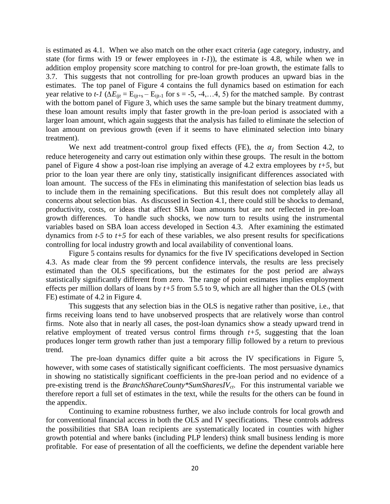is estimated as 4.1. When we also match on the other exact criteria (age category, industry, and state (for firms with 19 or fewer employees in *t-1*)), the estimate is 4.8, while when we in addition employ propensity score matching to control for pre-loan growth, the estimate falls to 3.7. This suggests that not controlling for pre-loan growth produces an upward bias in the estimates. The top panel of Figure 4 contains the full dynamics based on estimation for each year relative to  $t$ -1 ( $\Delta E_{ijt}$  =  $E_{ijt+s}$  –  $E_{ijt-1}$  for s = -5, -4,...4, 5) for the matched sample. By contrast with the bottom panel of Figure 3, which uses the same sample but the binary treatment dummy, these loan amount results imply that faster growth in the pre-loan period is associated with a larger loan amount, which again suggests that the analysis has failed to eliminate the selection of loan amount on previous growth (even if it seems to have eliminated selection into binary treatment).

We next add treatment-control group fixed effects (FE), the  $\alpha_j$  from Section 4.2, to reduce heterogeneity and carry out estimation only within these groups. The result in the bottom panel of Figure 4 show a post-loan rise implying an average of 4.2 extra employees by *t+5*, but prior to the loan year there are only tiny, statistically insignificant differences associated with loan amount. The success of the FEs in eliminating this manifestation of selection bias leads us to include them in the remaining specifications. But this result does not completely allay all concerns about selection bias. As discussed in Section 4.1, there could still be shocks to demand, productivity, costs, or ideas that affect SBA loan amounts but are not reflected in pre-loan growth differences. To handle such shocks, we now turn to results using the instrumental variables based on SBA loan access developed in Section 4.3. After examining the estimated dynamics from  $t-5$  to  $t+5$  for each of these variables, we also present results for specifications controlling for local industry growth and local availability of conventional loans.

Figure 5 contains results for dynamics for the five IV specifications developed in Section 4.3. As made clear from the 99 percent confidence intervals, the results are less precisely estimated than the OLS specifications, but the estimates for the post period are always statistically significantly different from zero. The range of point estimates implies employment effects per million dollars of loans by  $t+5$  from 5.5 to 9, which are all higher than the OLS (with FE) estimate of 4.2 in Figure 4.

This suggests that any selection bias in the OLS is negative rather than positive, i.e., that firms receiving loans tend to have unobserved prospects that are relatively worse than control firms. Note also that in nearly all cases, the post-loan dynamics show a steady upward trend in relative employment of treated versus control firms through  $t+5$ , suggesting that the loan produces longer term growth rather than just a temporary fillip followed by a return to previous trend.

The pre-loan dynamics differ quite a bit across the IV specifications in Figure 5, however, with some cases of statistically significant coefficients. The most persuasive dynamics in showing no statistically significant coefficients in the pre-loan period and no evidence of a pre-existing trend is the *BranchShareCounty\*SumSharesIVct*. For this instrumental variable we therefore report a full set of estimates in the text, while the results for the others can be found in the appendix.

Continuing to examine robustness further, we also include controls for local growth and for conventional financial access in both the OLS and IV specifications. These controls address the possibilities that SBA loan recipients are systematically located in counties with higher growth potential and where banks (including PLP lenders) think small business lending is more profitable. For ease of presentation of all the coefficients, we define the dependent variable here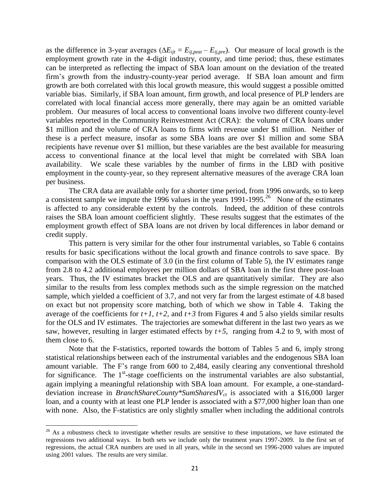as the difference in 3-year averages ( $\Delta E_{ijt} = E_{ij,post} - E_{ij,pre}$ ). Our measure of local growth is the employment growth rate in the 4-digit industry, county, and time period; thus, these estimates can be interpreted as reflecting the impact of SBA loan amount on the deviation of the treated firm's growth from the industry-county-year period average. If SBA loan amount and firm growth are both correlated with this local growth measure, this would suggest a possible omitted variable bias. Similarly, if SBA loan amount, firm growth, and local presence of PLP lenders are correlated with local financial access more generally, there may again be an omitted variable problem. Our measures of local access to conventional loans involve two different county-level variables reported in the Community Reinvestment Act (CRA): the volume of CRA loans under \$1 million and the volume of CRA loans to firms with revenue under \$1 million. Neither of these is a perfect measure, insofar as some SBA loans are over \$1 million and some SBA recipients have revenue over \$1 million, but these variables are the best available for measuring access to conventional finance at the local level that might be correlated with SBA loan availability. We scale these variables by the number of firms in the LBD with positive employment in the county-year, so they represent alternative measures of the average CRA loan per business.

The CRA data are available only for a shorter time period, from 1996 onwards, so to keep a consistent sample we impute the 1996 values in the years  $1991-1995$ <sup>26</sup> None of the estimates is affected to any considerable extent by the controls. Indeed, the addition of these controls raises the SBA loan amount coefficient slightly. These results suggest that the estimates of the employment growth effect of SBA loans are not driven by local differences in labor demand or credit supply.

This pattern is very similar for the other four instrumental variables, so Table 6 contains results for basic specifications without the local growth and finance controls to save space. By comparison with the OLS estimate of 3.0 (in the first column of Table 5), the IV estimates range from 2.8 to 4.2 additional employees per million dollars of SBA loan in the first three post-loan years. Thus, the IV estimates bracket the OLS and are quantitatively similar. They are also similar to the results from less complex methods such as the simple regression on the matched sample, which yielded a coefficient of 3.7, and not very far from the largest estimate of 4.8 based on exact but not propensity score matching, both of which we show in Table 4. Taking the average of the coefficients for  $t+1$ ,  $t+2$ , and  $t+3$  from Figures 4 and 5 also yields similar results for the OLS and IV estimates. The trajectories are somewhat different in the last two years as we saw, however, resulting in larger estimated effects by *t+5*, ranging from 4.2 to 9, with most of them close to 6.

Note that the F-statistics, reported towards the bottom of Tables 5 and 6, imply strong statistical relationships between each of the instrumental variables and the endogenous SBA loan amount variable. The F's range from 600 to 2,484, easily clearing any conventional threshold for significance. The  $1<sup>st</sup>$ -stage coefficients on the instrumental variables are also substantial, again implying a meaningful relationship with SBA loan amount. For example, a one-standarddeviation increase in *BranchShareCounty\*SumSharesIVct* is associated with a \$16,000 larger loan, and a county with at least one PLP lender is associated with a \$77,000 higher loan than one with none. Also, the F-statistics are only slightly smaller when including the additional controls

 $\overline{\phantom{a}}$ 

 $26$  As a robustness check to investigate whether results are sensitive to these imputations, we have estimated the regressions two additional ways. In both sets we include only the treatment years 1997-2009. In the first set of regressions, the actual CRA numbers are used in all years, while in the second set 1996-2000 values are imputed using 2001 values. The results are very similar.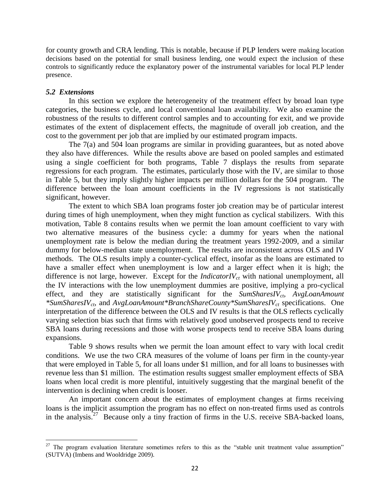for county growth and CRA lending. This is notable, because if PLP lenders were making location decisions based on the potential for small business lending, one would expect the inclusion of these controls to significantly reduce the explanatory power of the instrumental variables for local PLP lender presence.

#### *5.2 Extensions*

In this section we explore the heterogeneity of the treatment effect by broad loan type categories, the business cycle, and local conventional loan availability. We also examine the robustness of the results to different control samples and to accounting for exit, and we provide estimates of the extent of displacement effects, the magnitude of overall job creation, and the cost to the government per job that are implied by our estimated program impacts.

The 7(a) and 504 loan programs are similar in providing guarantees, but as noted above they also have differences. While the results above are based on pooled samples and estimated using a single coefficient for both programs, Table 7 displays the results from separate regressions for each program. The estimates, particularly those with the IV, are similar to those in Table 5, but they imply slightly higher impacts per million dollars for the 504 program. The difference between the loan amount coefficients in the IV regressions is not statistically significant, however.

The extent to which SBA loan programs foster job creation may be of particular interest during times of high unemployment, when they might function as cyclical stabilizers. With this motivation, Table 8 contains results when we permit the loan amount coefficient to vary with two alternative measures of the business cycle: a dummy for years when the national unemployment rate is below the median during the treatment years 1992-2009, and a similar dummy for below-median state unemployment. The results are inconsistent across OLS and IV methods. The OLS results imply a counter-cyclical effect, insofar as the loans are estimated to have a smaller effect when unemployment is low and a larger effect when it is high; the difference is not large, however. Except for the *IndicatorIVct* with national unemployment, all the IV interactions with the low unemployment dummies are positive, implying a pro-cyclical effect, and they are statistically significant for the *SumSharesIVct, AvgLoanAmount \*SumSharesIVct,* and *AvgLoanAmount\*BranchShareCounty\*SumSharesIVct* specifications. One interpretation of the difference between the OLS and IV results is that the OLS reflects cyclically varying selection bias such that firms with relatively good unobserved prospects tend to receive SBA loans during recessions and those with worse prospects tend to receive SBA loans during expansions.

Table 9 shows results when we permit the loan amount effect to vary with local credit conditions. We use the two CRA measures of the volume of loans per firm in the county-year that were employed in Table 5, for all loans under \$1 million, and for all loans to businesses with revenue less than \$1 million. The estimation results suggest smaller employment effects of SBA loans when local credit is more plentiful, intuitively suggesting that the marginal benefit of the intervention is declining when credit is looser.

An important concern about the estimates of employment changes at firms receiving loans is the implicit assumption the program has no effect on non-treated firms used as controls in the analysis.<sup>27</sup> Because only a tiny fraction of firms in the U.S. receive SBA-backed loans,

 $\overline{\phantom{a}}$  $27$  The program evaluation literature sometimes refers to this as the "stable unit treatment value assumption" (SUTVA) (Imbens and Wooldridge 2009).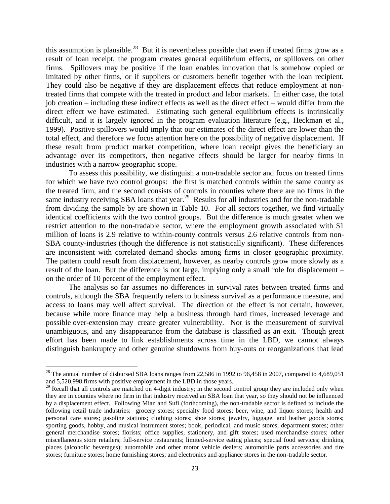this assumption is plausible.<sup>28</sup> But it is nevertheless possible that even if treated firms grow as a result of loan receipt, the program creates general equilibrium effects, or spillovers on other firms. Spillovers may be positive if the loan enables innovation that is somehow copied or imitated by other firms, or if suppliers or customers benefit together with the loan recipient. They could also be negative if they are displacement effects that reduce employment at nontreated firms that compete with the treated in product and labor markets. In either case, the total job creation – including these indirect effects as well as the direct effect – would differ from the direct effect we have estimated. Estimating such general equilibrium effects is intrinsically difficult, and it is largely ignored in the program evaluation literature (e.g., Heckman et al., 1999). Positive spillovers would imply that our estimates of the direct effect are lower than the total effect, and therefore we focus attention here on the possibility of negative displacement. If these result from product market competition, where loan receipt gives the beneficiary an advantage over its competitors, then negative effects should be larger for nearby firms in industries with a narrow geographic scope.

To assess this possibility, we distinguish a non-tradable sector and focus on treated firms for which we have two control groups: the first is matched controls within the same county as the treated firm, and the second consists of controls in counties where there are no firms in the same industry receiving SBA loans that year.<sup>29</sup> Results for all industries and for the non-tradable from dividing the sample by are shown in Table 10. For all sectors together, we find virtually identical coefficients with the two control groups. But the difference is much greater when we restrict attention to the non-tradable sector, where the employment growth associated with \$1 million of loans is 2.9 relative to within-county controls versus 2.6 relative controls from non-SBA county-industries (though the difference is not statistically significant). These differences are inconsistent with correlated demand shocks among firms in closer geographic proximity. The pattern could result from displacement, however, as nearby controls grow more slowly as a result of the loan. But the difference is not large, implying only a small role for displacement – on the order of 10 percent of the employment effect.

The analysis so far assumes no differences in survival rates between treated firms and controls, although the SBA frequently refers to business survival as a performance measure, and access to loans may well affect survival. The direction of the effect is not certain, however, because while more finance may help a business through hard times, increased leverage and possible over-extension may create greater vulnerability. Nor is the measurement of survival unambiguous, and any disappearance from the database is classified as an exit. Though great effort has been made to link establishments across time in the LBD, we cannot always distinguish bankruptcy and other genuine shutdowns from buy-outs or reorganizations that lead

 $\overline{a}$ 

<sup>&</sup>lt;sup>28</sup> The annual number of disbursed SBA loans ranges from 22,586 in 1992 to 96,458 in 2007, compared to 4,689,051 and 5,520,998 firms with positive employment in the LBD in those years.

<sup>&</sup>lt;sup>29</sup> Recall that all controls are matched on 4-digit industry; in the second control group they are included only when they are in counties where no firm in that industry received an SBA loan that year, so they should not be influenced by a displacement effect. Following Mian and Sufi (forthcoming), the non-tradable sector is defined to include the following retail trade industries: grocery stores; specialty food stores; beer, wine, and liquor stores; health and personal care stores; gasoline stations; clothing stores; shoe stores; jewelry, luggage, and leather goods stores; sporting goods, hobby, and musical instrument stores; book, periodical, and music stores; department stores; other general merchandise stores; florists; office supplies, stationery, and gift stores; used merchandise stores; other miscellaneous store retailers; full-service restaurants; limited-service eating places; special food services; drinking places (alcoholic beverages); automobile and other motor vehicle dealers; automobile parts accessories and tire stores; furniture stores; home furnishing stores; and electronics and appliance stores in the non-tradable sector.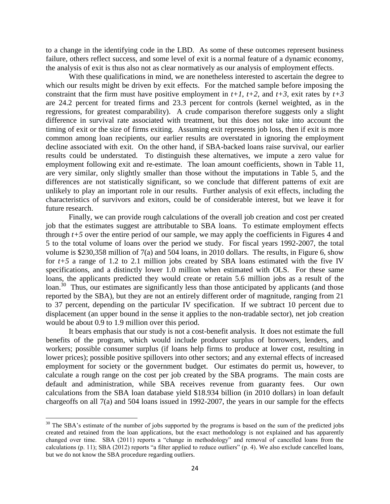to a change in the identifying code in the LBD. As some of these outcomes represent business failure, others reflect success, and some level of exit is a normal feature of a dynamic economy, the analysis of exit is thus also not as clear normatively as our analysis of employment effects.

With these qualifications in mind, we are nonetheless interested to ascertain the degree to which our results might be driven by exit effects. For the matched sample before imposing the constraint that the firm must have positive employment in  $t+1$ ,  $t+2$ , and  $t+3$ , exit rates by  $t+3$ are 24.2 percent for treated firms and 23.3 percent for controls (kernel weighted, as in the regressions, for greatest comparability). A crude comparison therefore suggests only a slight difference in survival rate associated with treatment, but this does not take into account the timing of exit or the size of firms exiting. Assuming exit represents job loss, then if exit is more common among loan recipients, our earlier results are overstated in ignoring the employment decline associated with exit. On the other hand, if SBA-backed loans raise survival, our earlier results could be understated. To distinguish these alternatives, we impute a zero value for employment following exit and re-estimate. The loan amount coefficients, shown in Table 11, are very similar, only slightly smaller than those without the imputations in Table 5, and the differences are not statistically significant, so we conclude that different patterns of exit are unlikely to play an important role in our results. Further analysis of exit effects, including the characteristics of survivors and exitors, could be of considerable interest, but we leave it for future research.

Finally, we can provide rough calculations of the overall job creation and cost per created job that the estimates suggest are attributable to SBA loans. To estimate employment effects through  $t+5$  over the entire period of our sample, we may apply the coefficients in Figures 4 and 5 to the total volume of loans over the period we study. For fiscal years 1992-2007, the total volume is \$230,358 million of 7(a) and 504 loans, in 2010 dollars. The results, in Figure 6, show for  $t+5$  a range of 1.2 to 2.1 million jobs created by SBA loans estimated with the five IV specifications, and a distinctly lower 1.0 million when estimated with OLS. For these same loans, the applicants predicted they would create or retain 5.6 million jobs as a result of the loan.<sup>30</sup> Thus, our estimates are significantly less than those anticipated by applicants (and those reported by the SBA), but they are not an entirely different order of magnitude, ranging from 21 to 37 percent, depending on the particular IV specification. If we subtract 10 percent due to displacement (an upper bound in the sense it applies to the non-tradable sector), net job creation would be about 0.9 to 1.9 million over this period.

It bears emphasis that our study is not a cost-benefit analysis. It does not estimate the full benefits of the program, which would include producer surplus of borrowers, lenders, and workers; possible consumer surplus (if loans help firms to produce at lower cost, resulting in lower prices); possible positive spillovers into other sectors; and any external effects of increased employment for society or the government budget. Our estimates do permit us, however, to calculate a rough range on the cost per job created by the SBA programs. The main costs are default and administration, while SBA receives revenue from guaranty fees. Our own calculations from the SBA loan database yield \$18.934 billion (in 2010 dollars) in loan default chargeoffs on all 7(a) and 504 loans issued in 1992-2007, the years in our sample for the effects

 $\overline{a}$ 

 $30$  The SBA's estimate of the number of jobs supported by the programs is based on the sum of the predicted jobs created and retained from the loan applications, but the exact methodology is not explained and has apparently changed over time. SBA (2011) reports a "change in methodology" and removal of cancelled loans from the calculations (p. 11); SBA (2012) reports "a filter applied to reduce outliers" (p. 4). We also exclude cancelled loans, but we do not know the SBA procedure regarding outliers.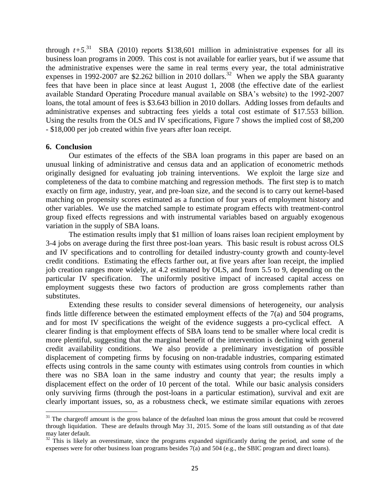through  $t+5$ <sup>31</sup> SBA (2010) reports \$138,601 million in administrative expenses for all its business loan programs in 2009. This cost is not available for earlier years, but if we assume that the administrative expenses were the same in real terms every year, the total administrative expenses in 1992-2007 are \$2.262 billion in 2010 dollars.<sup>32</sup> When we apply the SBA guaranty fees that have been in place since at least August 1, 2008 (the effective date of the earliest available Standard Operating Procedure manual available on SBA's website) to the 1992-2007 loans, the total amount of fees is \$3.643 billion in 2010 dollars. Adding losses from defaults and administrative expenses and subtracting fees yields a total cost estimate of \$17.553 billion. Using the results from the OLS and IV specifications, Figure 7 shows the implied cost of \$8,200 - \$18,000 per job created within five years after loan receipt.

#### **6. Conclusion**

 $\overline{\phantom{a}}$ 

Our estimates of the effects of the SBA loan programs in this paper are based on an unusual linking of administrative and census data and an application of econometric methods originally designed for evaluating job training interventions. We exploit the large size and completeness of the data to combine matching and regression methods. The first step is to match exactly on firm age, industry, year, and pre-loan size, and the second is to carry out kernel-based matching on propensity scores estimated as a function of four years of employment history and other variables. We use the matched sample to estimate program effects with treatment-control group fixed effects regressions and with instrumental variables based on arguably exogenous variation in the supply of SBA loans.

The estimation results imply that \$1 million of loans raises loan recipient employment by 3-4 jobs on average during the first three post-loan years. This basic result is robust across OLS and IV specifications and to controlling for detailed industry-county growth and county-level credit conditions. Estimating the effects farther out, at five years after loan receipt, the implied job creation ranges more widely, at 4.2 estimated by OLS, and from 5.5 to 9, depending on the particular IV specification. The uniformly positive impact of increased capital access on employment suggests these two factors of production are gross complements rather than substitutes.

Extending these results to consider several dimensions of heterogeneity, our analysis finds little difference between the estimated employment effects of the 7(a) and 504 programs, and for most IV specifications the weight of the evidence suggests a pro-cyclical effect. A clearer finding is that employment effects of SBA loans tend to be smaller where local credit is more plentiful, suggesting that the marginal benefit of the intervention is declining with general credit availability conditions. We also provide a preliminary investigation of possible displacement of competing firms by focusing on non-tradable industries, comparing estimated effects using controls in the same county with estimates using controls from counties in which there was no SBA loan in the same industry and county that year; the results imply a displacement effect on the order of 10 percent of the total. While our basic analysis considers only surviving firms (through the post-loans in a particular estimation), survival and exit are clearly important issues, so, as a robustness check, we estimate similar equations with zeroes

 $31$  The chargeoff amount is the gross balance of the defaulted loan minus the gross amount that could be recovered through liquidation. These are defaults through May 31, 2015. Some of the loans still outstanding as of that date may later default.

 $32$  This is likely an overestimate, since the programs expanded significantly during the period, and some of the expenses were for other business loan programs besides 7(a) and 504 (e.g., the SBIC program and direct loans).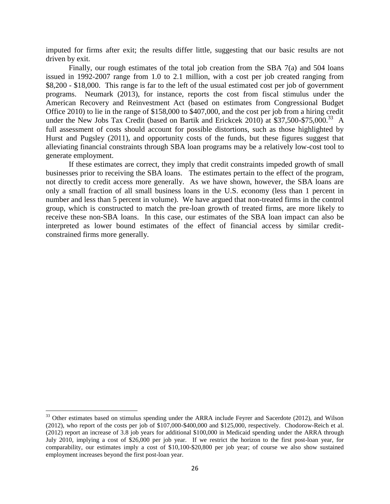imputed for firms after exit; the results differ little, suggesting that our basic results are not driven by exit.

Finally, our rough estimates of the total job creation from the SBA 7(a) and 504 loans issued in 1992-2007 range from 1.0 to 2.1 million, with a cost per job created ranging from \$8,200 - \$18,000. This range is far to the left of the usual estimated cost per job of government programs. Neumark (2013), for instance, reports the cost from fiscal stimulus under the American Recovery and Reinvestment Act (based on estimates from Congressional Budget Office 2010) to lie in the range of \$158,000 to \$407,000, and the cost per job from a hiring credit under the New Jobs Tax Credit (based on Bartik and Erickcek 2010) at \$37,500-\$75,000.<sup>33</sup> A full assessment of costs should account for possible distortions, such as those highlighted by Hurst and Pugsley (2011), and opportunity costs of the funds, but these figures suggest that alleviating financial constraints through SBA loan programs may be a relatively low-cost tool to generate employment.

If these estimates are correct, they imply that credit constraints impeded growth of small businesses prior to receiving the SBA loans. The estimates pertain to the effect of the program, not directly to credit access more generally. As we have shown, however, the SBA loans are only a small fraction of all small business loans in the U.S. economy (less than 1 percent in number and less than 5 percent in volume). We have argued that non-treated firms in the control group, which is constructed to match the pre-loan growth of treated firms, are more likely to receive these non-SBA loans. In this case, our estimates of the SBA loan impact can also be interpreted as lower bound estimates of the effect of financial access by similar creditconstrained firms more generally.

l

<sup>&</sup>lt;sup>33</sup> Other estimates based on stimulus spending under the ARRA include Feyrer and Sacerdote (2012), and Wilson (2012), who report of the costs per job of \$107,000-\$400,000 and \$125,000, respectively. Chodorow-Reich et al. (2012) report an increase of 3.8 job years for additional \$100,000 in Medicaid spending under the ARRA through July 2010, implying a cost of \$26,000 per job year. If we restrict the horizon to the first post-loan year, for comparability, our estimates imply a cost of \$10,100-\$20,800 per job year; of course we also show sustained employment increases beyond the first post-loan year.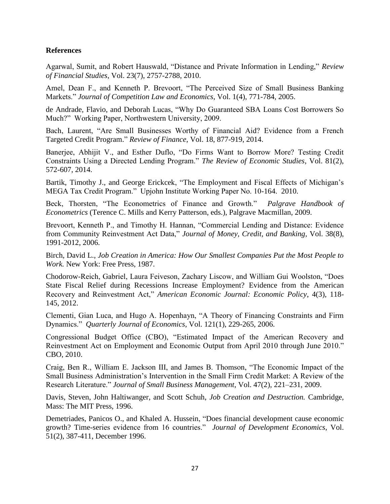#### **References**

Agarwal, Sumit, and Robert Hauswald, "Distance and Private Information in Lending," *Review of Financial Studies*, Vol. 23(7), 2757-2788, 2010.

Amel, Dean F., and Kenneth P. Brevoort, "The Perceived Size of Small Business Banking Markets." *Journal of Competition Law and Economics*, Vol. 1(4), 771-784, 2005.

de Andrade, Flavio, and Deborah Lucas, "Why Do Guaranteed SBA Loans Cost Borrowers So Much?" Working Paper, Northwestern University, 2009.

Bach, Laurent, "Are Small Businesses Worthy of Financial Aid? Evidence from a French Targeted Credit Program." *Review of Finance*, Vol. 18, 877-919, 2014.

Banerjee, Abhijit V., and Esther Duflo, "Do Firms Want to Borrow More? Testing Credit Constraints Using a Directed Lending Program." *The Review of Economic Studies*, Vol. 81(2), 572-607, 2014.

Bartik, Timothy J., and George Erickcek, "The Employment and Fiscal Effects of Michigan's MEGA Tax Credit Program." Upjohn Institute Working Paper No. 10-164. 2010.

Beck, Thorsten, "The Econometrics of Finance and Growth." *Palgrave Handbook of Econometrics* (Terence C. Mills and Kerry Patterson, eds.), Palgrave Macmillan, 2009.

Brevoort, Kenneth P., and Timothy H. Hannan, "Commercial Lending and Distance: Evidence from Community Reinvestment Act Data," *Journal of Money, Credit, and Banking*, Vol. 38(8), 1991-2012, 2006.

Birch, David L., *Job Creation in America: How Our Smallest Companies Put the Most People to Work.* New York: Free Press, 1987.

Chodorow-Reich, Gabriel, Laura Feiveson, Zachary Liscow, and William Gui Woolston, "Does State Fiscal Relief during Recessions Increase Employment? Evidence from the American Recovery and Reinvestment Act," *American Economic Journal: Economic Policy*, 4(3), 118- 145, 2012.

Clementi, Gian Luca, and Hugo A. Hopenhayn, "A Theory of Financing Constraints and Firm Dynamics." *Quarterly Journal of Economics*, Vol. 121(1), 229-265, 2006.

Congressional Budget Office (CBO), "Estimated Impact of the American Recovery and Reinvestment Act on Employment and Economic Output from April 2010 through June 2010." CBO, 2010.

Craig, Ben R., William E. Jackson III, and James B. Thomson, "The Economic Impact of the Small Business Administration's Intervention in the Small Firm Credit Market: A Review of the Research Literature." *Journal of Small Business Management*, Vol. 47(2), 221–231, 2009.

Davis, Steven, John Haltiwanger, and Scott Schuh, *Job Creation and Destruction.* Cambridge, Mass: The MIT Press, 1996.

Demetriades, Panicos O., and Khaled A. Hussein, "Does financial development cause economic growth? Time-series evidence from 16 countries." *Journal of Development Economics*, Vol. 51(2), 387-411, December 1996.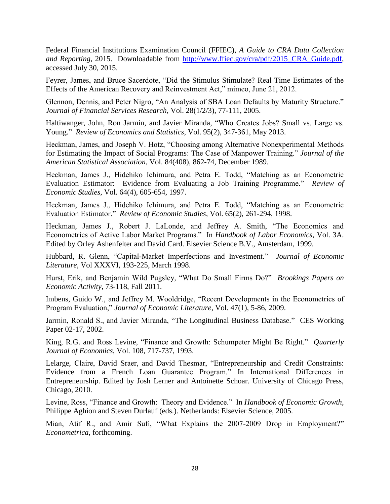Federal Financial Institutions Examination Council (FFIEC), *A Guide to CRA Data Collection and Reporting*, 2015. Downloadable from http://www.ffiec.gov/cra/pdf/2015 CRA Guide.pdf, accessed July 30, 2015.

Feyrer, James, and Bruce Sacerdote, "Did the Stimulus Stimulate? Real Time Estimates of the Effects of the American Recovery and Reinvestment Act," mimeo, June 21, 2012.

Glennon, Dennis, and Peter Nigro, "An Analysis of SBA Loan Defaults by Maturity Structure." *Journal of Financial Services Research*, Vol. 28(1/2/3), 77-111, 2005.

Haltiwanger, John, Ron Jarmin, and Javier Miranda, "Who Creates Jobs? Small vs. Large vs. Young." *Review of Economics and Statistics*, Vol. 95(2), 347-361, May 2013.

Heckman, James, and Joseph V. Hotz, "Choosing among Alternative Nonexperimental Methods for Estimating the Impact of Social Programs: The Case of Manpower Training." *Journal of the American Statistical Association*, Vol. 84(408), 862-74, December 1989.

Heckman, James J., Hidehiko Ichimura, and Petra E. Todd, "Matching as an Econometric Evaluation Estimator: Evidence from Evaluating a Job Training Programme." *Review of Economic Studies*, Vol. 64(4), 605-654, 1997.

Heckman, James J., Hidehiko Ichimura, and Petra E. Todd, "Matching as an Econometric Evaluation Estimator." *Review of Economic Studies*, Vol. 65(2), 261-294, 1998.

Heckman, James J., Robert J. LaLonde, and Jeffrey A. Smith, "The Economics and Econometrics of Active Labor Market Programs." In *Handbook of Labor Economics*, Vol. 3A. Edited by Orley Ashenfelter and David Card. Elsevier Science B.V., Amsterdam, 1999.

Hubbard, R. Glenn, "Capital-Market Imperfections and Investment." *Journal of Economic Literature*, Vol XXXVI, 193-225, March 1998.

Hurst, Erik, and Benjamin Wild Pugsley, "What Do Small Firms Do?" *Brookings Papers on Economic Activity*, 73-118, Fall 2011.

Imbens, Guido W., and Jeffrey M. Wooldridge, "Recent Developments in the Econometrics of Program Evaluation," *Journal of Economic Literature*, Vol. 47(1), 5-86, 2009.

Jarmin, Ronald S., and Javier Miranda, "The Longitudinal Business Database*.*"CES Working Paper 02-17, 2002.

King, R.G. and Ross Levine, "Finance and Growth: Schumpeter Might Be Right." *Quarterly Journal of Economics*, Vol. 108, 717-737, 1993.

Lelarge, Claire, David Sraer, and David Thesmar, "Entrepreneurship and Credit Constraints: Evidence from a French Loan Guarantee Program." In International Differences in Entrepreneurship. Edited by Josh Lerner and Antoinette Schoar. University of Chicago Press, Chicago, 2010.

Levine, Ross, "Finance and Growth: Theory and Evidence." In *Handbook of Economic Growth*, Philippe Aghion and Steven Durlauf (eds.). Netherlands: Elsevier Science, 2005.

Mian, Atif R., and Amir Sufi, "What Explains the 2007-2009 Drop in Employment?" *Econometrica*, forthcoming.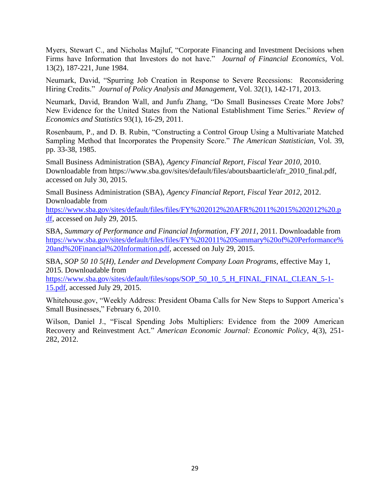Myers, Stewart C., and Nicholas Majluf, "Corporate Financing and Investment Decisions when Firms have Information that Investors do not have." *[Journal of Financial Economics](http://www.sciencedirect.com/science/journal/0304405X)*, [Vol.](http://www.sciencedirect.com/science/journal/0304405X/13/2)  [13\(2\),](http://www.sciencedirect.com/science/journal/0304405X/13/2) 187-221, June 1984.

Neumark, David, "Spurring Job Creation in Response to Severe Recessions: Reconsidering Hiring Credits." *Journal of Policy Analysis and Management*, Vol. 32(1), 142-171, 2013.

Neumark, David, Brandon Wall, and Junfu Zhang, "Do Small Businesses Create More Jobs? New Evidence for the United States from the National Establishment Time Series." *Review of Economics and Statistics* 93(1), 16-29, 2011.

Rosenbaum, P., and D. B. Rubin, "Constructing a Control Group Using a Multivariate Matched Sampling Method that Incorporates the Propensity Score." *The American Statistician*, Vol. 39, pp. 33-38, 1985.

Small Business Administration (SBA), *Agency Financial Report, Fiscal Year 2010*, 2010. Downloadable from https://www.sba.gov/sites/default/files/aboutsbaarticle/afr\_2010\_final.pdf, accessed on July 30, 2015.

Small Business Administration (SBA), *Agency Financial Report, Fiscal Year 2012*, 2012. Downloadable from

[https://www.sba.gov/sites/default/files/files/FY%202012%20AFR%2011%2015%202012%20.p](https://www.sba.gov/sites/default/files/files/FY%202012%20AFR%2011%2015%202012%20.pdf) [df,](https://www.sba.gov/sites/default/files/files/FY%202012%20AFR%2011%2015%202012%20.pdf) accessed on July 29, 2015.

SBA, *Summary of Performance and Financial Information, FY 2011*, 2011. Downloadable from [https://www.sba.gov/sites/default/files/files/FY%202011%20Summary%20of%20Performance%](https://www.sba.gov/sites/default/files/files/FY%202011%20Summary%20of%20Performance%20and%20Financial%20Information.pdf) [20and%20Financial%20Information.pdf,](https://www.sba.gov/sites/default/files/files/FY%202011%20Summary%20of%20Performance%20and%20Financial%20Information.pdf) accessed on July 29, 2015.

SBA, *SOP 50 10 5(H), Lender and Development Company Loan Programs*, effective May 1, 2015. Downloadable from

[https://www.sba.gov/sites/default/files/sops/SOP\\_50\\_10\\_5\\_H\\_FINAL\\_FINAL\\_CLEAN\\_5-1-](https://www.sba.gov/sites/default/files/sops/SOP_50_10_5_H_FINAL_FINAL_CLEAN_5-1-15.pdf) [15.pdf,](https://www.sba.gov/sites/default/files/sops/SOP_50_10_5_H_FINAL_FINAL_CLEAN_5-1-15.pdf) accessed July 29, 2015.

Whitehouse.gov, "Weekly Address: President Obama Calls for New Steps to Support America's Small Businesses," February 6, 2010.

Wilson, Daniel J., "Fiscal Spending Jobs Multipliers: Evidence from the 2009 American Recovery and Reinvestment Act." *American Economic Journal: Economic Policy*, 4(3), 251- 282, 2012.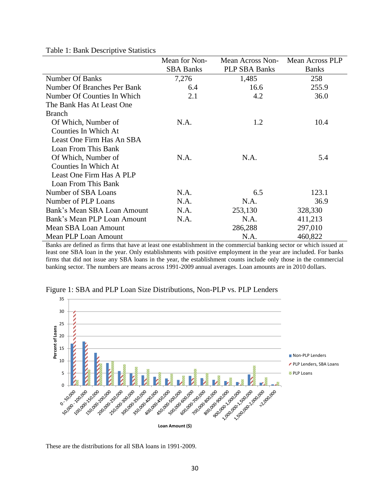|                             | Mean for Non-    | Mean Across Non-     | Mean Across PLP |
|-----------------------------|------------------|----------------------|-----------------|
|                             | <b>SBA Banks</b> | <b>PLP SBA Banks</b> | <b>Banks</b>    |
| Number Of Banks             | 7,276            | 1,485                | 258             |
| Number Of Branches Per Bank | 6.4              | 16.6                 | 255.9           |
| Number Of Counties In Which | 2.1              | 4.2                  | 36.0            |
| The Bank Has At Least One   |                  |                      |                 |
| <b>Branch</b>               |                  |                      |                 |
| Of Which, Number of         | N.A.             | 1.2                  | 10.4            |
| Counties In Which At        |                  |                      |                 |
| Least One Firm Has An SBA   |                  |                      |                 |
| Loan From This Bank         |                  |                      |                 |
| Of Which, Number of         | N.A.             | N.A.                 | 5.4             |
| Counties In Which At        |                  |                      |                 |
| Least One Firm Has A PLP    |                  |                      |                 |
| Loan From This Bank         |                  |                      |                 |
| Number of SBA Loans         | N.A.             | 6.5                  | 123.1           |
| Number of PLP Loans         | N.A.             | N.A.                 | 36.9            |
| Bank's Mean SBA Loan Amount | N.A.             | 253,130              | 328,330         |
| Bank's Mean PLP Loan Amount | N.A.             | N.A.                 | 411,213         |
| Mean SBA Loan Amount        |                  | 286,288              | 297,010         |
| Mean PLP Loan Amount        |                  | N.A.                 | 460,822         |

Table 1: Bank Descriptive Statistics

Banks are defined as firms that have at least one establishment in the commercial banking sector or which issued at least one SBA loan in the year. Only establishments with positive employment in the year are included. For banks firms that did not issue any SBA loans in the year, the establishment counts include only those in the commercial banking sector. The numbers are means across 1991-2009 annual averages. Loan amounts are in 2010 dollars.



Figure 1: SBA and PLP Loan Size Distributions, Non-PLP vs. PLP Lenders

These are the distributions for all SBA loans in 1991-2009.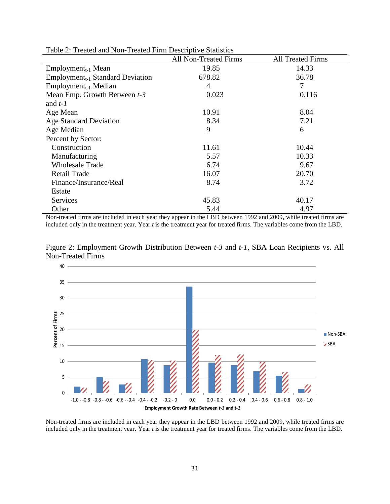|                                       | <b>All Non-Treated Firms</b> | <b>All Treated Firms</b> |
|---------------------------------------|------------------------------|--------------------------|
| $Employment_{t-1}$ Mean               | 19.85                        | 14.33                    |
| $Employment_{t-1}$ Standard Deviation | 678.82                       | 36.78                    |
| $Employment_{t-1}$ Median             | 4                            | 7                        |
| Mean Emp. Growth Between $t-3$        | 0.023                        | 0.116                    |
| and $t-1$                             |                              |                          |
| Age Mean                              | 10.91                        | 8.04                     |
| Age Standard Deviation                | 8.34                         | 7.21                     |
| Age Median                            | 9                            | 6                        |
| Percent by Sector:                    |                              |                          |
| Construction                          | 11.61                        | 10.44                    |
| Manufacturing                         | 5.57                         | 10.33                    |
| <b>Wholesale Trade</b>                | 6.74                         | 9.67                     |
| <b>Retail Trade</b>                   | 16.07                        | 20.70                    |
| Finance/Insurance/Real                | 8.74                         | 3.72                     |
| Estate                                |                              |                          |
| Services                              | 45.83                        | 40.17                    |
| Other                                 | 5.44                         | 4.97                     |

Table 2: Treated and Non-Treated Firm Descriptive Statistics

Non-treated firms are included in each year they appear in the LBD between 1992 and 2009, while treated firms are included only in the treatment year. Year *t* is the treatment year for treated firms. The variables come from the LBD.





Non-treated firms are included in each year they appear in the LBD between 1992 and 2009, while treated firms are included only in the treatment year. Year *t* is the treatment year for treated firms. The variables come from the LBD.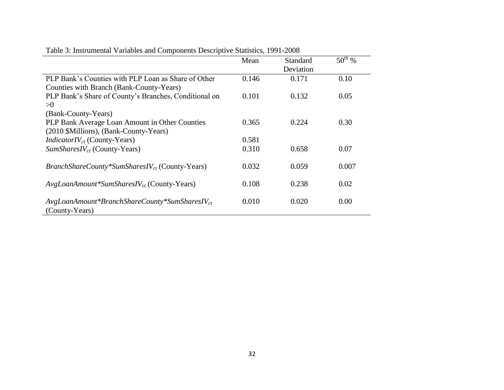|                                                                     | Mean  | Standard<br>Deviation | $50^{th}$ % |
|---------------------------------------------------------------------|-------|-----------------------|-------------|
| PLP Bank's Counties with PLP Loan as Share of Other                 | 0.146 | 0.171                 | 0.10        |
| Counties with Branch (Bank-County-Years)                            |       |                       |             |
| PLP Bank's Share of County's Branches, Conditional on               | 0.101 | 0.132                 | 0.05        |
| >0                                                                  |       |                       |             |
| (Bank-County-Years)                                                 |       |                       |             |
| PLP Bank Average Loan Amount in Other Counties                      | 0.365 | 0.224                 | 0.30        |
| (2010 \$Millions), (Bank-County-Years)                              |       |                       |             |
| <i>IndicatorIV<sub>ct</sub></i> (County-Years)                      | 0.581 |                       |             |
| $SumSharesIV_{ct}$ (County-Years)                                   | 0.310 | 0.658                 | 0.07        |
| <i>BranchShareCounty*SumSharesIV<sub>ct</sub></i> (County-Years)    | 0.032 | 0.059                 | 0.007       |
| $Avg LoanAmount*SumSharesIV_{ct}$ (County-Years)                    | 0.108 | 0.238                 | 0.02        |
| $Avg LoanAmount*BranchShareCountry*SumSharesIVct$<br>(County-Years) | 0.010 | 0.020                 | 0.00        |

Table 3: Instrumental Variables and Components Descriptive Statistics, 1991-2008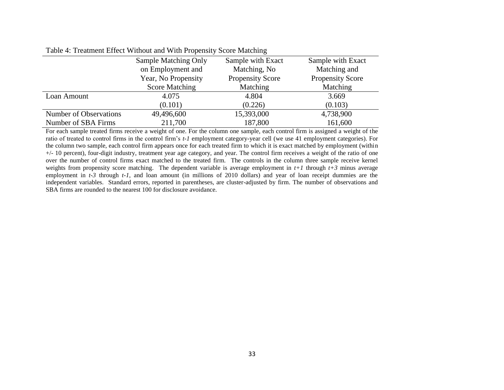|                        | Sample Matching Only  | Sample with Exact       | Sample with Exact       |
|------------------------|-----------------------|-------------------------|-------------------------|
|                        | on Employment and     | Matching, No.           | Matching and            |
|                        | Year, No Propensity   | <b>Propensity Score</b> | <b>Propensity Score</b> |
|                        | <b>Score Matching</b> | Matching                | Matching                |
| Loan Amount            | 4.075                 | 4.804                   | 3.669                   |
|                        | (0.101)               | (0.226)                 | (0.103)                 |
| Number of Observations | 49,496,600            | 15,393,000              | 4,738,900               |
| Number of SBA Firms    | 211,700               | 187,800                 | 161,600                 |

Table 4: Treatment Effect Without and With Propensity Score Matching

For each sample treated firms receive a weight of one. For the column one sample, each control firm is assigned a weight of the ratio of treated to control firms in the control firm's *t-1* employment category-year cell (we use 41 employment categories). For the column two sample, each control firm appears once for each treated firm to which it is exact matched by employment (within +/- 10 percent), four-digit industry, treatment year age category, and year. The control firm receives a weight of the ratio of one over the number of control firms exact matched to the treated firm. The controls in the column three sample receive kernel weights from propensity score matching. The dependent variable is average employment in *t+1* through *t+3* minus average employment in *t-3* through *t-1*, and loan amount (in millions of 2010 dollars) and year of loan receipt dummies are the independent variables. Standard errors, reported in parentheses, are cluster-adjusted by firm. The number of observations and SBA firms are rounded to the nearest 100 for disclosure avoidance.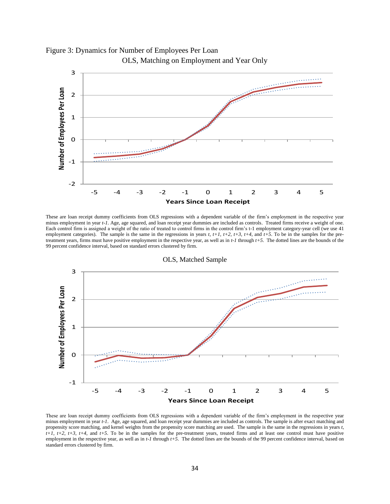

Figure 3: Dynamics for Number of Employees Per Loan OLS, Matching on Employment and Year Only

These are loan receipt dummy coefficients from OLS regressions with a dependent variable of the firm's employment in the respective year minus employment in year *t-1*. Age, age squared, and loan receipt year dummies are included as controls. Treated firms receive a weight of one. Each control firm is assigned a weight of the ratio of treated to control firms in the control firm's t-1 employment category-year cell (we use 41 employment categories). The sample is the same in the regressions in years *t*, *t+1*, *t+2*, *t+3*, *t+4*, and *t+5*. To be in the samples for the pretreatment years, firms must have positive employment in the respective year, as well as in *t-1* through *t+5*. The dotted lines are the bounds of the 99 percent confidence interval, based on standard errors clustered by firm.



OLS, Matched Sample

These are loan receipt dummy coefficients from OLS regressions with a dependent variable of the firm's employment in the respective year minus employment in year *t-1*. Age, age squared, and loan receipt year dummies are included as controls. The sample is after exact matching and propensity score matching, and kernel weights from the propensity score matching are used. The sample is the same in the regressions in years *t*, *t+1*, *t+2*, *t+3*, *t+4*, and *t+5*. To be in the samples for the pre-treatment years, treated firms and at least one control must have positive employment in the respective year, as well as in  $t$ -1 through  $t+\hat{S}$ . The dotted lines are the bounds of the 99 percent confidence interval, based on standard errors clustered by firm.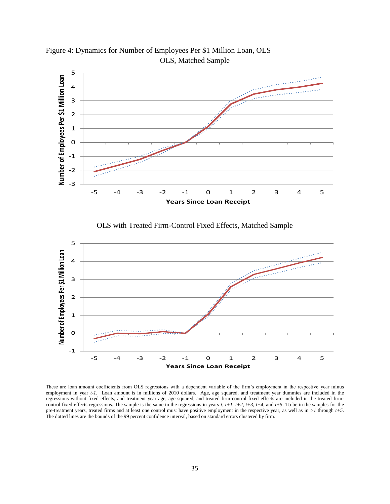

Figure 4: Dynamics for Number of Employees Per \$1 Million Loan, OLS OLS, Matched Sample

These are loan amount coefficients from OLS regressions with a dependent variable of the firm's employment in the respective year minus employment in year *t-1*. Loan amount is in millions of 2010 dollars. Age, age squared, and treatment year dummies are included in the regressions without fixed effects, and treatment year age, age squared, and treated firm-control fixed effects are included in the treated firmcontrol fixed effects regressions. The sample is the same in the regressions in years  $t$ ,  $t+1$ ,  $t+2$ ,  $t+3$ ,  $t+4$ , and  $t+5$ . To be in the samples for the pre-treatment years, treated firms and at least one control must have positive employment in the respective year, as well as in *t-1* through *t+5*. The dotted lines are the bounds of the 99 percent confidence interval, based on standard errors clustered by firm.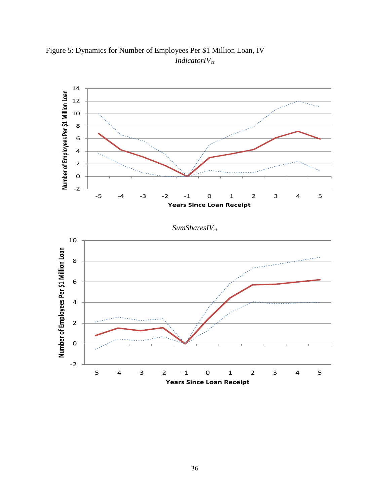

Figure 5: Dynamics for Number of Employees Per \$1 Million Loan, IV *IndicatorIVct*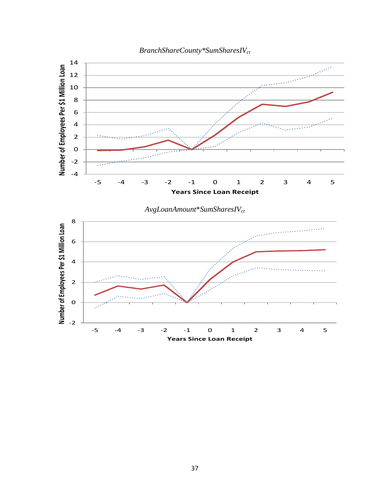

### *BranchShareCounty\*SumSharesIVct*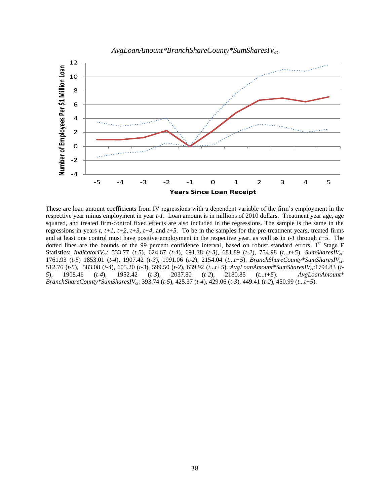

These are loan amount coefficients from IV regressions with a dependent variable of the firm's employment in the respective year minus employment in year *t-1*. Loan amount is in millions of 2010 dollars. Treatment year age, age squared, and treated firm-control fixed effects are also included in the regressions. The sample is the same in the regressions in years  $t$ ,  $t+1$ ,  $t+2$ ,  $t+3$ ,  $t+4$ , and  $t+5$ . To be in the samples for the pre-treatment years, treated firms and at least one control must have positive employment in the respective year, as well as in *t-1* through *t+5*. The dotted lines are the bounds of the 99 percent confidence interval, based on robust standard errors. I<sup>st</sup> Stage F Statistics: *IndicatorIVct*: 533.77 (*t-5*), 624.67 (*t-4*), 691.38 (*t-3*), 681.89 (*t-2*), 754.98 (*t*...*t+5*). *SumSharesIVct*: 1761.93 (*t-5*) 1853.01 (*t-4*), 1907.42 (*t-3*), 1991.06 (*t-2*), 2154.04 (*t*...*t+5*). *BranchShareCounty\*SumSharesIVct*: 512.76 (*t-5*), 583.08 (*t-4*), 605.20 (*t-3*), 599.50 (*t-2*), 639.92 (*t*...*t+5*). *AvgLoanAmount\*SumSharesIVct*:1794.83 (*t-5*), 1908.46 (*t-4*), 1952.42 (*t-3*), 2037.80 (*t-2*), 2180.85 (*t*...*t+5*). *AvgLoanAmount\* BranchShareCounty\*SumSharesIVct*: 393.74 (*t-5*), 425.37 (*t-4*), 429.06 (*t-3*), 449.41 (*t-2*), 450.99 (*t*...*t+5*).

### *AvgLoanAmount\*BranchShareCounty\*SumSharesIVct*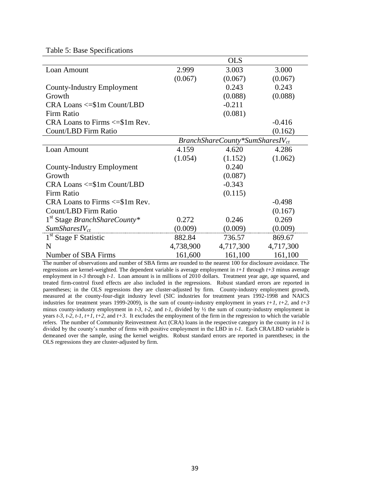|  | Table 5: Base Specifications |
|--|------------------------------|
|--|------------------------------|

|                                            |           | <b>OLS</b>                           |           |
|--------------------------------------------|-----------|--------------------------------------|-----------|
| Loan Amount                                | 2.999     | 3.003                                | 3.000     |
|                                            | (0.067)   | (0.067)                              | (0.067)   |
| County-Industry Employment                 |           | 0.243                                | 0.243     |
| Growth                                     |           | (0.088)                              | (0.088)   |
| CRA Loans <= \$1m Count/LBD                |           | $-0.211$                             |           |
| <b>Firm Ratio</b>                          |           | (0.081)                              |           |
| CRA Loans to Firms $\le$ \$1m Rev.         |           |                                      | $-0.416$  |
| Count/LBD Firm Ratio                       |           |                                      | (0.162)   |
|                                            |           | $BranchShareCountry * SumSharesIVct$ |           |
| Loan Amount                                | 4.159     | 4.620                                | 4.286     |
|                                            | (1.054)   | (1.152)                              | (1.062)   |
| County-Industry Employment                 |           | 0.240                                |           |
| Growth                                     |           | (0.087)                              |           |
| CRA Loans <= \$1m Count/LBD                |           | $-0.343$                             |           |
| Firm Ratio                                 |           | (0.115)                              |           |
| CRA Loans to Firms $\le$ \$1m Rev.         |           |                                      | $-0.498$  |
| Count/LBD Firm Ratio                       |           |                                      | (0.167)   |
| 1 <sup>st</sup> Stage Branch Share County* | 0.272     | 0.246                                | 0.269     |
| SumSharesIV <sub>ct</sub>                  | (0.009)   | (0.009)                              | (0.009)   |
| $1st$ Stage F Statistic                    | 882.84    | 736.57                               | 869.67    |
| N                                          | 4,738,900 | 4,717,300                            | 4,717,300 |
| Number of SBA Firms                        | 161,600   | 161,100                              | 161,100   |

The number of observations and number of SBA firms are rounded to the nearest 100 for disclosure avoidance. The regressions are kernel-weighted. The dependent variable is average employment in *t+1* through *t+3* minus average employment in *t-3* through *t-1*. Loan amount is in millions of 2010 dollars. Treatment year age, age squared, and treated firm-control fixed effects are also included in the regressions. Robust standard errors are reported in parentheses; in the OLS regressions they are cluster-adjusted by firm. County-industry employment growth, measured at the county-four-digit industry level (SIC industries for treatment years 1992-1998 and NAICS industries for treatment years 1999-2009), is the sum of county-industry employment in years  $t+1$ ,  $t+2$ , and  $t+3$ minus county-industry employment in *t-3*, *t-2*, and *t-1*, divided by ½ the sum of county-industry employment in years *t-3*, *t-2*, *t-1*, *t+1*, *t+2*, and *t+3*. It excludes the employment of the firm in the regression to which the variable refers. The number of Community Reinvestment Act (CRA) loans in the respective category in the county in *t-1* is divided by the county's number of firms with positive employment in the LBD in *t-1*. Each CRA/LBD variable is demeaned over the sample, using the kernel weights. Robust standard errors are reported in parentheses; in the OLS regressions they are cluster-adjusted by firm.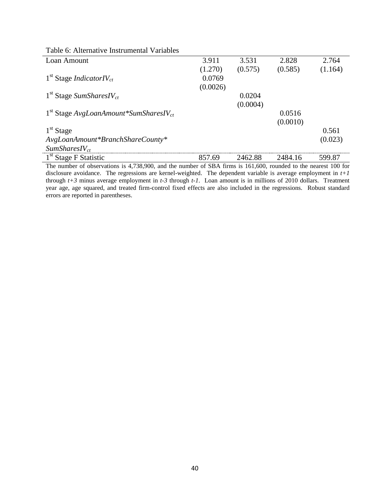| 3.911    | 3.531    | 2.828    | 2.764   |
|----------|----------|----------|---------|
| (1.270)  | (0.575)  | (0.585)  | (1.164) |
| 0.0769   |          |          |         |
| (0.0026) |          |          |         |
|          | 0.0204   |          |         |
|          | (0.0004) |          |         |
|          |          | 0.0516   |         |
|          |          | (0.0010) |         |
|          |          |          | 0.561   |
|          |          |          | (0.023) |
|          |          |          |         |
| 857.69   | 2462.88  | 2484.16  | 599.87  |
|          |          |          |         |

#### Table 6: Alternative Instrumental Variables

The number of observations is 4,738,900, and the number of SBA firms is 161,600, rounded to the nearest 100 for disclosure avoidance. The regressions are kernel-weighted. The dependent variable is average employment in *t+1* through *t+3* minus average employment in *t-3* through *t-1*. Loan amount is in millions of 2010 dollars. Treatment year age, age squared, and treated firm-control fixed effects are also included in the regressions. Robust standard errors are reported in parentheses.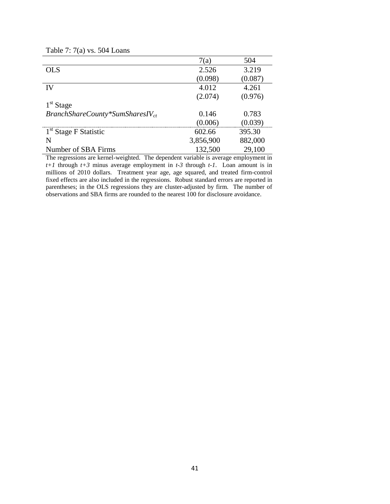|                                    | 7(a)      | 504     |
|------------------------------------|-----------|---------|
| <b>OLS</b>                         | 2.526     | 3.219   |
|                                    | (0.098)   | (0.087) |
| IV                                 | 4.012     | 4.261   |
|                                    | (2.074)   | (0.976) |
| $1st$ Stage                        |           |         |
| $BranchShareCountry*SumSharesIVct$ | 0.146     | 0.783   |
|                                    | (0.006)   | (0.039) |
| $1st$ Stage F Statistic            | 602.66    | 395.30  |
| N                                  | 3,856,900 | 882,000 |
| Number of SBA Firms                | 132,500   | 29,100  |

Table 7: 7(a) vs. 504 Loans

The regressions are kernel-weighted. The dependent variable is average employment in *t+1* through *t+3* minus average employment in *t-3* through *t-1*. Loan amount is in millions of 2010 dollars. Treatment year age, age squared, and treated firm-control fixed effects are also included in the regressions. Robust standard errors are reported in parentheses; in the OLS regressions they are cluster-adjusted by firm. The number of observations and SBA firms are rounded to the nearest 100 for disclosure avoidance.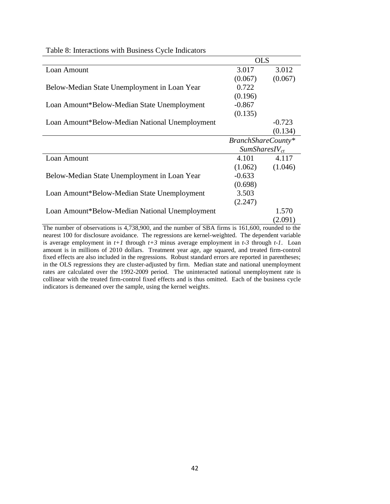|                                                | <b>OLS</b>                |          |
|------------------------------------------------|---------------------------|----------|
| Loan Amount                                    | 3.017                     | 3.012    |
|                                                | (0.067)                   | (0.067)  |
| Below-Median State Unemployment in Loan Year   | 0.722                     |          |
|                                                | (0.196)                   |          |
| Loan Amount*Below-Median State Unemployment    | $-0.867$                  |          |
|                                                | (0.135)                   |          |
| Loan Amount*Below-Median National Unemployment |                           | $-0.723$ |
|                                                |                           | (0.134)  |
|                                                | BranchShareCounty*        |          |
|                                                | SumSharesIV <sub>ct</sub> |          |
| Loan Amount                                    | 4.101                     | 4.117    |
|                                                | (1.062)                   | (1.046)  |
| Below-Median State Unemployment in Loan Year   | $-0.633$                  |          |
|                                                | (0.698)                   |          |
| Loan Amount*Below-Median State Unemployment    | 3.503                     |          |
|                                                | (2.247)                   |          |
| Loan Amount*Below-Median National Unemployment |                           | 1.570    |
|                                                |                           | (2.091)  |

Table 8: Interactions with Business Cycle Indicators

The number of observations is 4,738,900, and the number of SBA firms is 161,600, rounded to the nearest 100 for disclosure avoidance. The regressions are kernel-weighted. The dependent variable is average employment in *t+1* through *t+3* minus average employment in *t-3* through *t-1*. Loan amount is in millions of 2010 dollars. Treatment year age, age squared, and treated firm-control fixed effects are also included in the regressions. Robust standard errors are reported in parentheses; in the OLS regressions they are cluster-adjusted by firm. Median state and national unemployment rates are calculated over the 1992-2009 period. The uninteracted national unemployment rate is collinear with the treated firm-control fixed effects and is thus omitted. Each of the business cycle indicators is demeaned over the sample, using the kernel weights.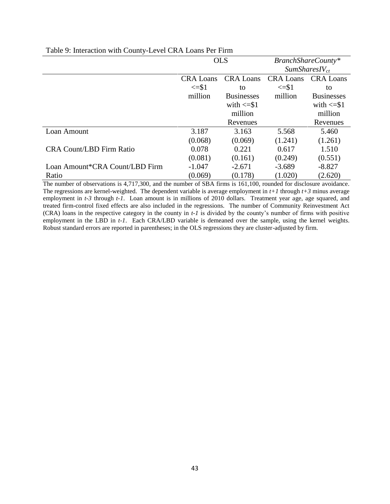|                                 | <b>OLS</b>             |                   | BranchShareCounty* |                           |  |
|---------------------------------|------------------------|-------------------|--------------------|---------------------------|--|
|                                 |                        |                   |                    | SumSharesIV <sub>ct</sub> |  |
|                                 | <b>CRA Loans</b>       | <b>CRA Loans</b>  | <b>CRA Loans</b>   | <b>CRA Loans</b>          |  |
|                                 | $\leq$ $\leq$ $\leq$ 1 | to                | $\leq$ 51          | to                        |  |
|                                 | million                | <b>Businesses</b> | million            | <b>Businesses</b>         |  |
|                                 |                        | with $\leq$ \$1   |                    | with $\leq$ \$1           |  |
|                                 |                        | million           |                    | million                   |  |
|                                 |                        | Revenues          |                    | Revenues                  |  |
| Loan Amount                     | 3.187                  | 3.163             | 5.568              | 5.460                     |  |
|                                 | (0.068)                | (0.069)           | (1.241)            | (1.261)                   |  |
| <b>CRA Count/LBD Firm Ratio</b> | 0.078                  | 0.221             | 0.617              | 1.510                     |  |
|                                 | (0.081)                | (0.161)           | (0.249)            | (0.551)                   |  |
| Loan Amount*CRA Count/LBD Firm  | $-1.047$               | $-2.671$          | $-3.689$           | $-8.827$                  |  |
| Ratio                           | (0.069)                | (0.178)           | (1.020)            | (2.620)                   |  |

#### Table 9: Interaction with County-Level CRA Loans Per Firm

The number of observations is 4,717,300, and the number of SBA firms is 161,100, rounded for disclosure avoidance. The regressions are kernel-weighted. The dependent variable is average employment in *t+1* through *t+3* minus average employment in *t-3* through *t-1*. Loan amount is in millions of 2010 dollars. Treatment year age, age squared, and treated firm-control fixed effects are also included in the regressions. The number of Community Reinvestment Act (CRA) loans in the respective category in the county in *t-1* is divided by the county's number of firms with positive employment in the LBD in *t-1*. Each CRA/LBD variable is demeaned over the sample, using the kernel weights. Robust standard errors are reported in parentheses; in the OLS regressions they are cluster-adjusted by firm.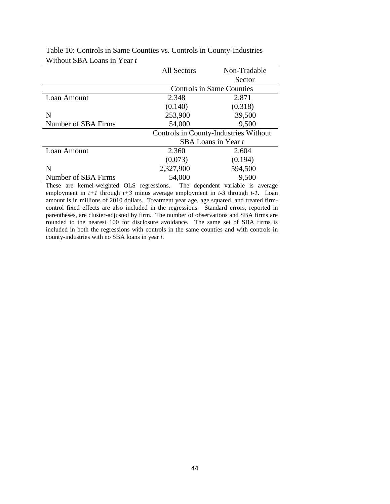|                     | <b>All Sectors</b>                    | Non-Tradable                     |  |
|---------------------|---------------------------------------|----------------------------------|--|
|                     |                                       | Sector                           |  |
|                     |                                       | <b>Controls in Same Counties</b> |  |
| Loan Amount         | 2.348                                 | 2.871                            |  |
|                     | (0.140)                               | (0.318)                          |  |
| N                   | 253,900                               | 39,500                           |  |
| Number of SBA Firms | 54,000                                | 9,500                            |  |
|                     | Controls in County-Industries Without |                                  |  |
|                     |                                       | SBA Loans in Year t              |  |
| Loan Amount         | 2.360                                 | 2.604                            |  |
|                     | (0.073)                               | (0.194)                          |  |
| N                   | 2,327,900                             | 594,500                          |  |
| Number of SBA Firms | 54,000                                | 9,500                            |  |

Table 10: Controls in Same Counties vs. Controls in County-Industries Without SBA Loans in Year *t*

These are kernel-weighted OLS regressions. The dependent variable is average employment in  $t+1$  through  $t+3$  minus average employment in  $t-3$  through  $t-1$ . Loan amount is in millions of 2010 dollars. Treatment year age, age squared, and treated firmcontrol fixed effects are also included in the regressions. Standard errors, reported in parentheses, are cluster-adjusted by firm. The number of observations and SBA firms are rounded to the nearest 100 for disclosure avoidance. The same set of SBA firms is included in both the regressions with controls in the same counties and with controls in county-industries with no SBA loans in year *t*.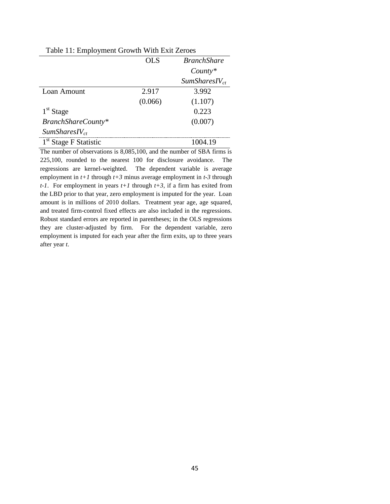| Table 11: Employment Growth With Exit Zeroes |  |  |
|----------------------------------------------|--|--|
|----------------------------------------------|--|--|

|                           | OL S    | <b>BranchShare</b>        |
|---------------------------|---------|---------------------------|
|                           |         | $Country*$                |
|                           |         | SumSharesIV <sub>ct</sub> |
| Loan Amount               | 2.917   | 3.992                     |
|                           | (0.066) | (1.107)                   |
| $1st$ Stage               |         | 0.223                     |
| BranchShareCounty*        |         | (0.007)                   |
| SumSharesIV <sub>ct</sub> |         |                           |
| $1st$ Stage F Statistic   |         | 1004.19                   |

The number of observations is 8,085,100, and the number of SBA firms is 225,100, rounded to the nearest 100 for disclosure avoidance. The regressions are kernel-weighted. The dependent variable is average employment in *t+1* through *t+3* minus average employment in *t-3* through *t-1*. For employment in years *t+1* through *t+3*, if a firm has exited from the LBD prior to that year, zero employment is imputed for the year. Loan amount is in millions of 2010 dollars. Treatment year age, age squared, and treated firm-control fixed effects are also included in the regressions. Robust standard errors are reported in parentheses; in the OLS regressions they are cluster-adjusted by firm. For the dependent variable, zero employment is imputed for each year after the firm exits, up to three years after year *t*.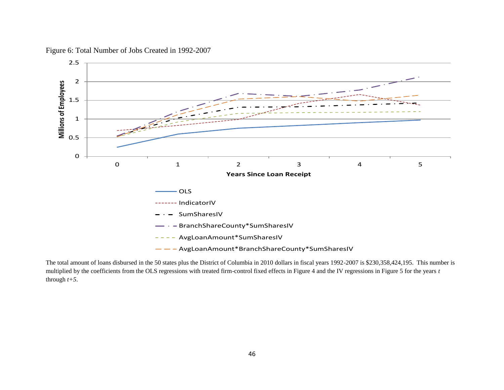

Figure 6: Total Number of Jobs Created in 1992-2007

The total amount of loans disbursed in the 50 states plus the District of Columbia in 2010 dollars in fiscal years 1992-2007 is \$230,358,424,195. This number is multiplied by the coefficients from the OLS regressions with treated firm-control fixed effects in Figure 4 and the IV regressions in Figure 5 for the years *t* through *t+5*.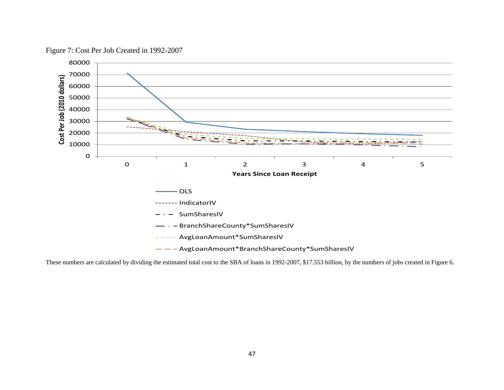

Figure 7: Cost Per Job Created in 1992-2007

These numbers are calculated by dividing the estimated total cost to the SBA of loans in 1992-2007, \$17.553 billion, by the numbers of jobs created in Figure 6.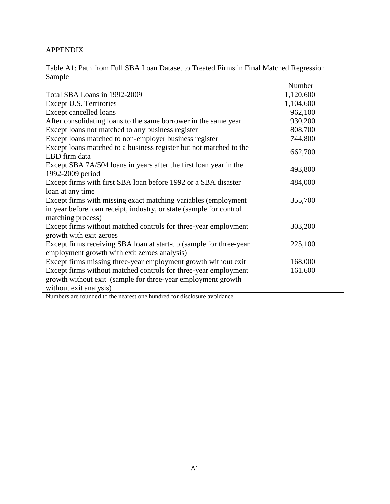### APPENDIX

Table A1: Path from Full SBA Loan Dataset to Treated Firms in Final Matched Regression Sample

| Number    |
|-----------|
| 1,120,600 |
| 1,104,600 |
| 962,100   |
| 930,200   |
| 808,700   |
| 744,800   |
| 662,700   |
| 493,800   |
| 484,000   |
|           |
| 355,700   |
|           |
| 303,200   |
| 225,100   |
| 168,000   |
| 161,600   |
|           |
|           |
|           |

Numbers are rounded to the nearest one hundred for disclosure avoidance.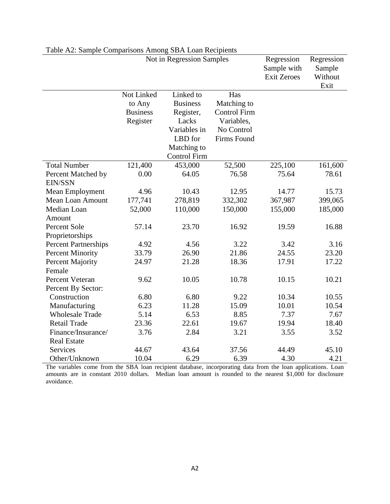| $\frac{1}{2}$ and $\frac{1}{2}$ . Builtpic Comm | $\mu$ and $\mu$ and $\mu$ and $\mu$ and $\mu$ and $\mu$ and $\mu$<br>Not in Regression Samples |                     |                     | Regression<br>Sample with | Regression<br>Sample |
|-------------------------------------------------|------------------------------------------------------------------------------------------------|---------------------|---------------------|---------------------------|----------------------|
|                                                 |                                                                                                |                     |                     | <b>Exit Zeroes</b>        | Without              |
|                                                 |                                                                                                |                     |                     |                           | Exit                 |
|                                                 | Not Linked                                                                                     | Linked to           | Has                 |                           |                      |
|                                                 | to Any                                                                                         | <b>Business</b>     | Matching to         |                           |                      |
|                                                 | <b>Business</b>                                                                                | Register,           | <b>Control Firm</b> |                           |                      |
|                                                 | Register                                                                                       | Lacks               | Variables,          |                           |                      |
|                                                 |                                                                                                | Variables in        | No Control          |                           |                      |
|                                                 |                                                                                                | LBD for             | <b>Firms Found</b>  |                           |                      |
|                                                 |                                                                                                | Matching to         |                     |                           |                      |
|                                                 |                                                                                                | <b>Control Firm</b> |                     |                           |                      |
| <b>Total Number</b>                             | 121,400                                                                                        | 453,000             | 52,500              | 225,100                   | 161,600              |
| Percent Matched by                              | 0.00                                                                                           | 64.05               | 76.58               | 75.64                     | 78.61                |
| EIN/SSN                                         |                                                                                                |                     |                     |                           |                      |
| Mean Employment                                 | 4.96                                                                                           | 10.43               | 12.95               | 14.77                     | 15.73                |
| <b>Mean Loan Amount</b>                         | 177,741                                                                                        | 278,819             | 332,302             | 367,987                   | 399,065              |
| Median Loan                                     | 52,000                                                                                         | 110,000             | 150,000             | 155,000                   | 185,000              |
| Amount                                          |                                                                                                |                     |                     |                           |                      |
| Percent Sole                                    | 57.14                                                                                          | 23.70               | 16.92               | 19.59                     | 16.88                |
| Proprietorships                                 |                                                                                                |                     |                     |                           |                      |
| <b>Percent Partnerships</b>                     | 4.92                                                                                           | 4.56                | 3.22                | 3.42                      | 3.16                 |
| <b>Percent Minority</b>                         | 33.79                                                                                          | 26.90               | 21.86               | 24.55                     | 23.20                |
| Percent Majority                                | 24.97                                                                                          | 21.28               | 18.36               | 17.91                     | 17.22                |
| Female                                          |                                                                                                |                     |                     |                           |                      |
| Percent Veteran                                 | 9.62                                                                                           | 10.05               | 10.78               | 10.15                     | 10.21                |
| Percent By Sector:                              |                                                                                                |                     |                     |                           |                      |
| Construction                                    | 6.80                                                                                           | 6.80                | 9.22                | 10.34                     | 10.55                |
| Manufacturing                                   | 6.23                                                                                           | 11.28               | 15.09               | 10.01                     | 10.54                |
| <b>Wholesale Trade</b>                          | 5.14                                                                                           | 6.53                | 8.85                | 7.37                      | 7.67                 |
| <b>Retail Trade</b>                             | 23.36                                                                                          | 22.61               | 19.67               | 19.94                     | 18.40                |
| Finance/Insurance/                              | 3.76                                                                                           | 2.84                | 3.21                | 3.55                      | 3.52                 |
| <b>Real Estate</b>                              |                                                                                                |                     |                     |                           |                      |
| Services                                        | 44.67                                                                                          | 43.64               | 37.56               | 44.49                     | 45.10                |
| Other/Unknown                                   | 10.04                                                                                          | 6.29                | 6.39                | 4.30                      | 4.21                 |

| Table A2: Sample Comparisons Among SBA Loan Recipients |  |  |  |  |
|--------------------------------------------------------|--|--|--|--|
|                                                        |  |  |  |  |

The variables come from the SBA loan recipient database, incorporating data from the loan applications. Loan amounts are in constant 2010 dollars. Median loan amount is rounded to the nearest \$1,000 for disclosure avoidance.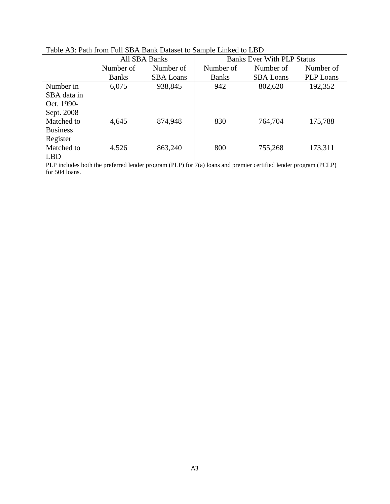|                 |              | All SBA Banks    | <b>Banks Ever With PLP Status</b> |                  |                  |  |
|-----------------|--------------|------------------|-----------------------------------|------------------|------------------|--|
|                 | Number of    | Number of        | Number of                         | Number of        | Number of        |  |
|                 | <b>Banks</b> | <b>SBA Loans</b> | <b>Banks</b>                      | <b>SBA Loans</b> | <b>PLP</b> Loans |  |
| Number in       | 6,075        | 938,845          | 942                               | 802,620          | 192,352          |  |
| SBA data in     |              |                  |                                   |                  |                  |  |
| Oct. 1990-      |              |                  |                                   |                  |                  |  |
| Sept. 2008      |              |                  |                                   |                  |                  |  |
| Matched to      | 4,645        | 874,948          | 830                               | 764,704          | 175,788          |  |
| <b>Business</b> |              |                  |                                   |                  |                  |  |
| Register        |              |                  |                                   |                  |                  |  |
| Matched to      | 4,526        | 863,240          | 800                               | 755,268          | 173,311          |  |
| <b>LBD</b>      |              |                  |                                   |                  |                  |  |

Table A3: Path from Full SBA Bank Dataset to Sample Linked to LBD

PLP includes both the preferred lender program (PLP) for 7(a) loans and premier certified lender program (PCLP) for 504 loans.